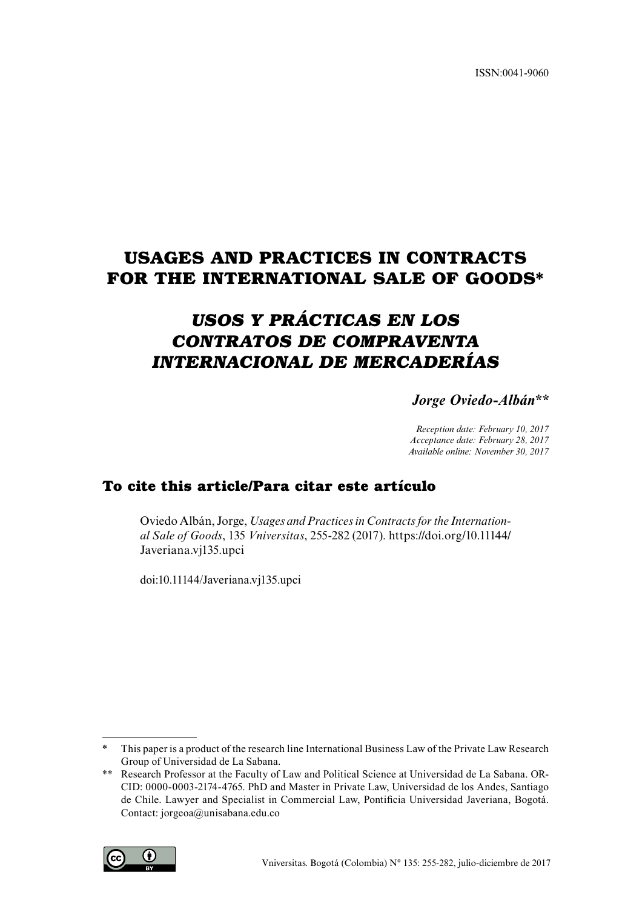ISSN:0041-9060

# **USAGES AND PRACTICES IN CONTRACTS FOR THE INTERNATIONAL SALE OF GOODS\***

# *USOS Y PRÁCTICAS EN LOS CONTRATOS DE COMPRAVENTA INTERNACIONAL DE MERCADERÍAS*

*Jorge Oviedo-Albán\*\**

*Reception date: February 10, 2017 Acceptance date: February 28, 2017 Available online: November 30, 2017*

### **To cite this article/Para citar este artículo**

Oviedo Albán, Jorge, *Usages and Practices in Contracts for the International Sale of Goods*, 135 *Vniversitas*, 255-282 (2017). https://doi.org/10.11144/ Javeriana.vj135.upci

doi:10.11144/Javeriana.vj135.upci

<sup>\*\*</sup> Research Professor at the Faculty of Law and Political Science at Universidad de La Sabana. OR-CID: 0000-0003-2174-4765. PhD and Master in Private Law, Universidad de los Andes, Santiago de Chile. Lawyer and Specialist in Commercial Law, Pontificia Universidad Javeriana, Bogotá. Contact: jorgeoa@unisabana.edu.co



<sup>\*</sup> This paper is a product of the research line International Business Law of the Private Law Research Group of Universidad de La Sabana.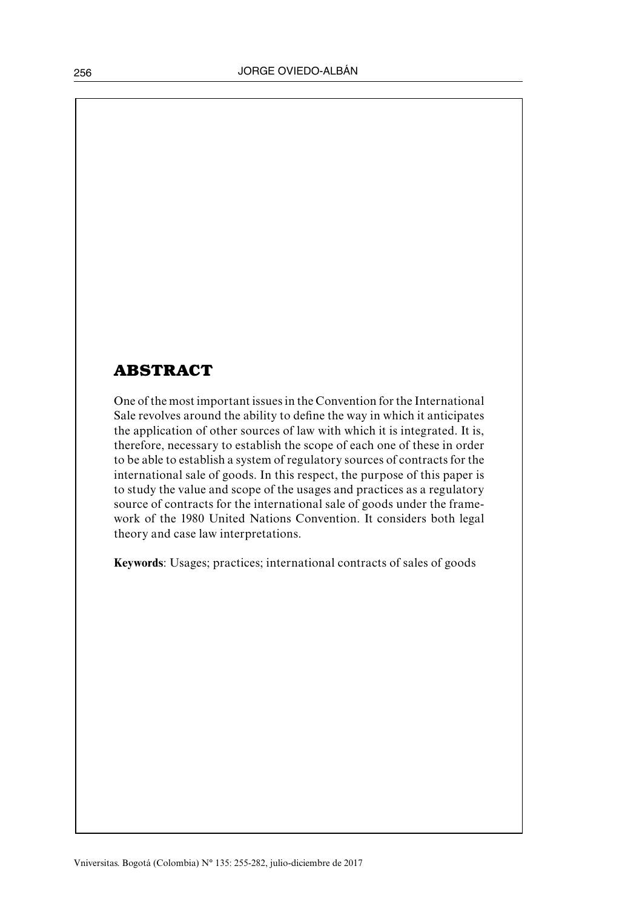# **ABSTRACT**

One of the most important issues in the Convention for the International Sale revolves around the ability to define the way in which it anticipates the application of other sources of law with which it is integrated. It is, therefore, necessary to establish the scope of each one of these in order to be able to establish a system of regulatory sources of contracts for the international sale of goods. In this respect, the purpose of this paper is to study the value and scope of the usages and practices as a regulatory source of contracts for the international sale of goods under the framework of the 1980 United Nations Convention. It considers both legal theory and case law interpretations.

**Keywords**: Usages; practices; international contracts of sales of goods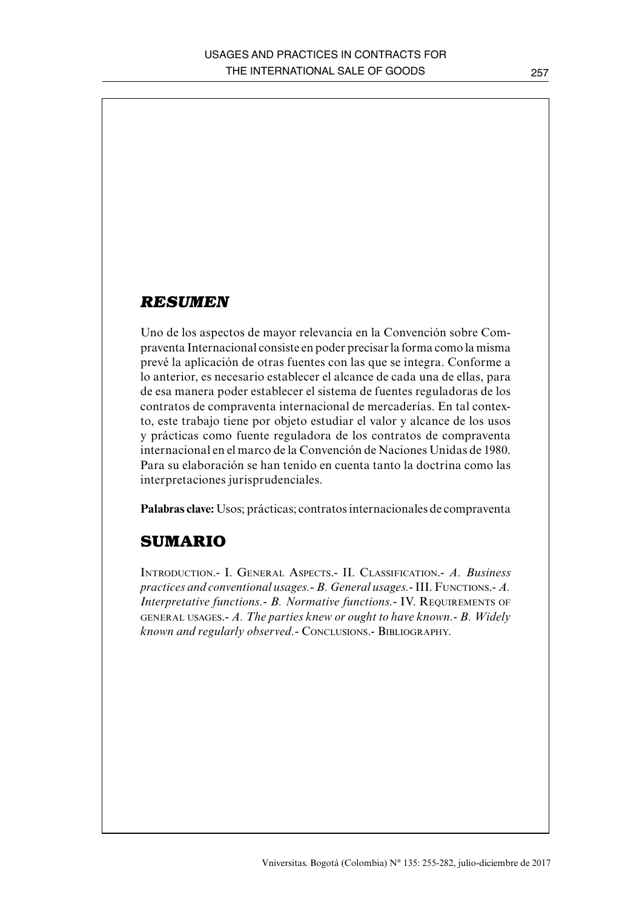### *RESUMEN*

Uno de los aspectos de mayor relevancia en la Convención sobre Compraventa Internacional consiste en poder precisar la forma como la misma prevé la aplicación de otras fuentes con las que se integra. Conforme a lo anterior, es necesario establecer el alcance de cada una de ellas, para de esa manera poder establecer el sistema de fuentes reguladoras de los contratos de compraventa internacional de mercaderías. En tal contexto, este trabajo tiene por objeto estudiar el valor y alcance de los usos y prácticas como fuente reguladora de los contratos de compraventa internacional en el marco de la Convención de Naciones Unidas de 1980. Para su elaboración se han tenido en cuenta tanto la doctrina como las interpretaciones jurisprudenciales.

**Palabras clave:** Usos; prácticas; contratos internacionales de compraventa

## **SUMARIO**

Introduction.- I. General Aspects.- II. Classification.- *A. Business practices and conventional usages.- B. General usages.-* III. Functions.- *A. Interpretative functions.- B. Normative functions.- IV. REQUIREMENTS OF* general usages.- *A. The parties knew or ought to have known.- B. Widely known and regularly observed.-* Conclusions.- Bibliography.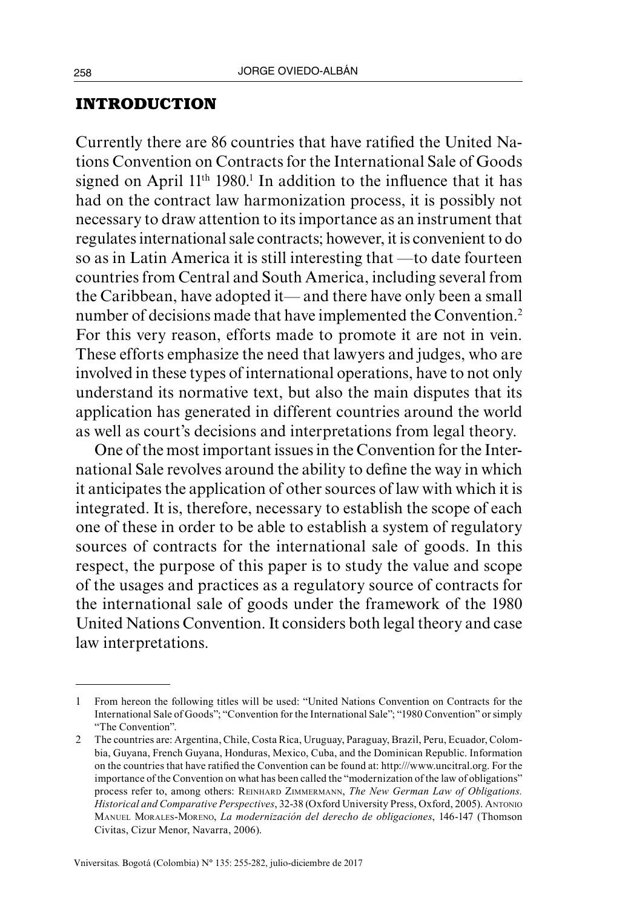#### **INTRODUCTION**

Currently there are 86 countries that have ratified the United Nations Convention on Contracts for the International Sale of Goods signed on April  $11<sup>th</sup> 1980<sup>1</sup>$  In addition to the influence that it has had on the contract law harmonization process, it is possibly not necessary to draw attention to its importance as an instrument that regulates international sale contracts; however, it is convenient to do so as in Latin America it is still interesting that —to date fourteen countries from Central and South America, including several from the Caribbean, have adopted it— and there have only been a small number of decisions made that have implemented the Convention.<sup>2</sup> For this very reason, efforts made to promote it are not in vein. These efforts emphasize the need that lawyers and judges, who are involved in these types of international operations, have to not only understand its normative text, but also the main disputes that its application has generated in different countries around the world as well as court's decisions and interpretations from legal theory.

One of the most important issues in the Convention for the International Sale revolves around the ability to define the way in which it anticipates the application of other sources of law with which it is integrated. It is, therefore, necessary to establish the scope of each one of these in order to be able to establish a system of regulatory sources of contracts for the international sale of goods. In this respect, the purpose of this paper is to study the value and scope of the usages and practices as a regulatory source of contracts for the international sale of goods under the framework of the 1980 United Nations Convention. It considers both legal theory and case law interpretations.

<sup>1</sup> From hereon the following titles will be used: "United Nations Convention on Contracts for the International Sale of Goods"; "Convention for the International Sale"; "1980 Convention" or simply "The Convention".

<sup>2</sup> The countries are: Argentina, Chile, Costa Rica, Uruguay, Paraguay, Brazil, Peru, Ecuador, Colombia, Guyana, French Guyana, Honduras, Mexico, Cuba, and the Dominican Republic. Information on the countries that have ratified the Convention can be found at: [http:///www.uncitral.org.](http:///www.uncitral.org) For the importance of the Convention on what has been called the "modernization of the law of obligations" process refer to, among others: Reinhard Zimmermann, *The New German Law of Obligations. Historical and Comparative Perspectives*, 32-38 (Oxford University Press, Oxford, 2005). Antonio Manuel Morales-Moreno, *La modernización del derecho de obligaciones*, 146-147 (Thomson Civitas, Cizur Menor, Navarra, 2006).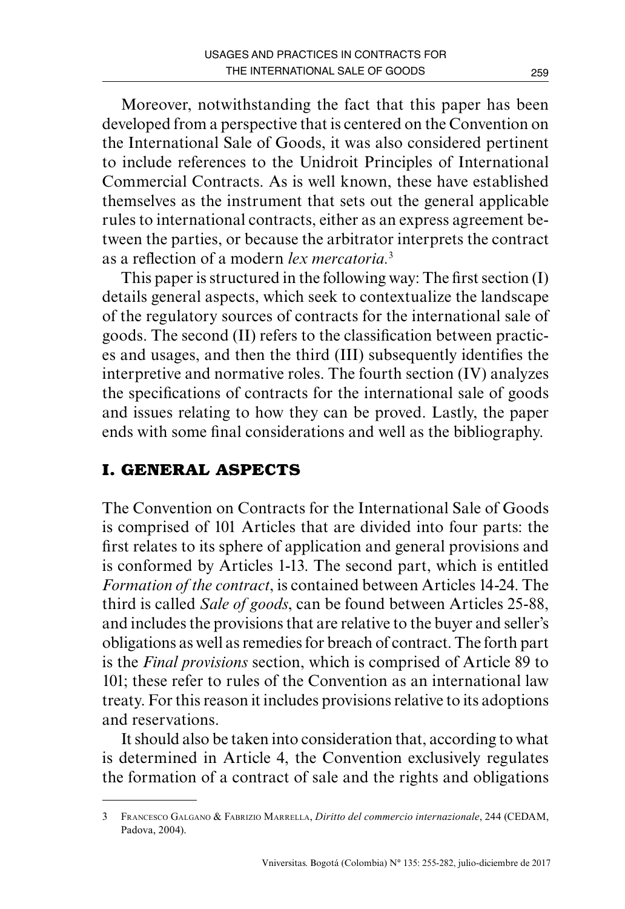Moreover, notwithstanding the fact that this paper has been developed from a perspective that is centered on the Convention on the International Sale of Goods, it was also considered pertinent to include references to the Unidroit Principles of International Commercial Contracts. As is well known, these have established themselves as the instrument that sets out the general applicable rules to international contracts, either as an express agreement between the parties, or because the arbitrator interprets the contract as a reflection of a modern *lex mercatoria.*<sup>3</sup>

This paper is structured in the following way: The first section (I) details general aspects, which seek to contextualize the landscape of the regulatory sources of contracts for the international sale of goods. The second (II) refers to the classification between practices and usages, and then the third (III) subsequently identifies the interpretive and normative roles. The fourth section (IV) analyzes the specifications of contracts for the international sale of goods and issues relating to how they can be proved. Lastly, the paper ends with some final considerations and well as the bibliography.

# **I. GENERAL ASPECTS**

The Convention on Contracts for the International Sale of Goods is comprised of 101 Articles that are divided into four parts: the first relates to its sphere of application and general provisions and is conformed by Articles 1-13. The second part, which is entitled *Formation of the contract*, is contained between Articles 14-24. The third is called *Sale of goods*, can be found between Articles 25-88, and includes the provisions that are relative to the buyer and seller's obligations as well as remedies for breach of contract. The forth part is the *Final provisions* section, which is comprised of Article 89 to 101; these refer to rules of the Convention as an international law treaty. For this reason it includes provisions relative to its adoptions and reservations.

It should also be taken into consideration that, according to what is determined in Article 4, the Convention exclusively regulates the formation of a contract of sale and the rights and obligations

<sup>3</sup> Francesco Galgano & Fabrizio Marrella, *Diritto del commercio internazionale*, 244 (CEDAM, Padova, 2004).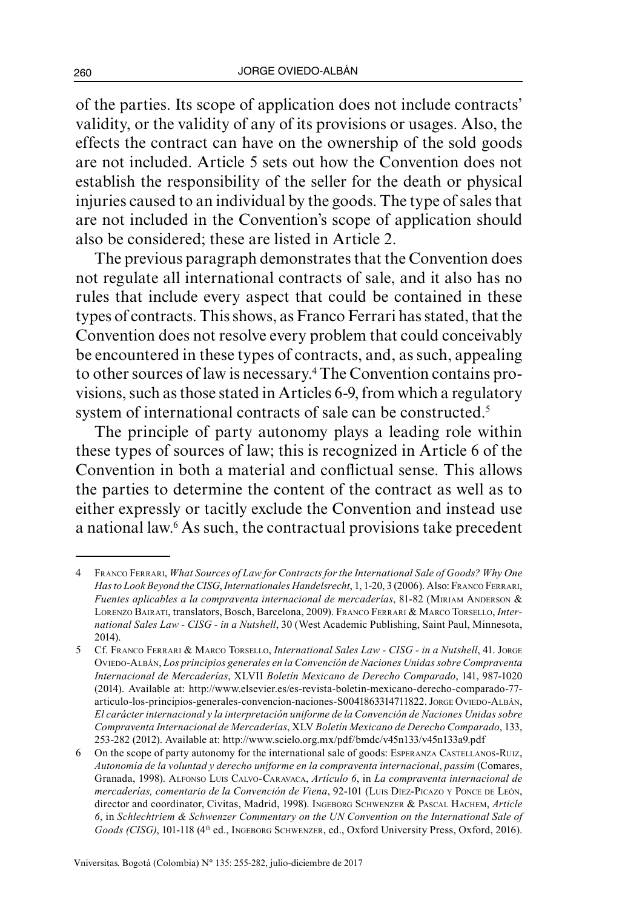of the parties. Its scope of application does not include contracts' validity, or the validity of any of its provisions or usages. Also, the effects the contract can have on the ownership of the sold goods are not included. Article 5 sets out how the Convention does not establish the responsibility of the seller for the death or physical injuries caused to an individual by the goods. The type of sales that are not included in the Convention's scope of application should also be considered; these are listed in Article 2.

The previous paragraph demonstrates that the Convention does not regulate all international contracts of sale, and it also has no rules that include every aspect that could be contained in these types of contracts. This shows, as Franco Ferrari has stated, that the Convention does not resolve every problem that could conceivably be encountered in these types of contracts, and, as such, appealing to other sources of law is necessary.4 The Convention contains provisions, such as those stated in Articles 6-9, from which a regulatory system of international contracts of sale can be constructed.<sup>5</sup>

The principle of party autonomy plays a leading role within these types of sources of law; this is recognized in Article 6 of the Convention in both a material and conflictual sense. This allows the parties to determine the content of the contract as well as to either expressly or tacitly exclude the Convention and instead use a national law.6 As such, the contractual provisions take precedent

<sup>4</sup> Franco Ferrari, *What Sources of Law for Contracts for the International Sale of Goods? Why One Has to Look Beyond the CISG*, *Internationales Handelsrecht*, 1, 1-20, 3 (2006). Also: Franco Ferrari, *Fuentes aplicables a la compraventa internacional de mercaderías*, 81-82 (Miriam Anderson & Lorenzo Bairati, translators, Bosch, Barcelona, 2009). Franco Ferrari & Marco Torsello, *International Sales Law - CISG - in a Nutshell*, 30 (West Academic Publishing, Saint Paul, Minnesota, 2014).

<sup>5</sup> Cf. Franco Ferrari & Marco Torsello, *International Sales Law - CISG - in a Nutshell*, 41. Jorge Oviedo-Albán, *Los principios generales en la Convención de Naciones Unidas sobre Compraventa Internacional de Mercaderías*, XLVII *Boletín Mexicano de Derecho Comparado*, 141, 987-1020 (2014). Available at: http://www.elsevier.es/es-revista-boletin-mexicano-derecho-comparado-77 articulo-los-principios-generales-convencion-naciones-S0041863314711822. Jorge Oviedo-ALBÁN, *El carácter internacional y la interpretación uniforme de la Convención de Naciones Unidas sobre Compraventa Internacional de Mercaderías*, XLV *Boletín Mexicano de Derecho Comparado*, 133, 253-282 (2012). Available at: http://www.scielo.org.mx/pdf/bmdc/v45n133/v45n133a9.pdf

<sup>6</sup> On the scope of party autonomy for the international sale of goods: ESPERANZA CASTELLANOS-RUIZ, *Autonomía de la voluntad y derecho uniforme en la compraventa internacional*, *passim* (Comares, Granada, 1998). Alfonso Luis Calvo-Caravaca, *Artículo 6*, in *La compraventa internacional de*  mercaderías, comentario de la Convención de Viena, 92-101 (LUIS DÍEZ-PICAZO Y PONCE DE LEÓN, director and coordinator, Civitas, Madrid, 1998). Ingeborg Schwenzer & Pascal Hachem, *Article 6*, in *Schlechtriem & Schwenzer Commentary on the UN Convention on the International Sale of*  Goods (CISG), 101-118 (4<sup>th</sup> ed., Ingeborg Schwenzer, ed., Oxford University Press, Oxford, 2016).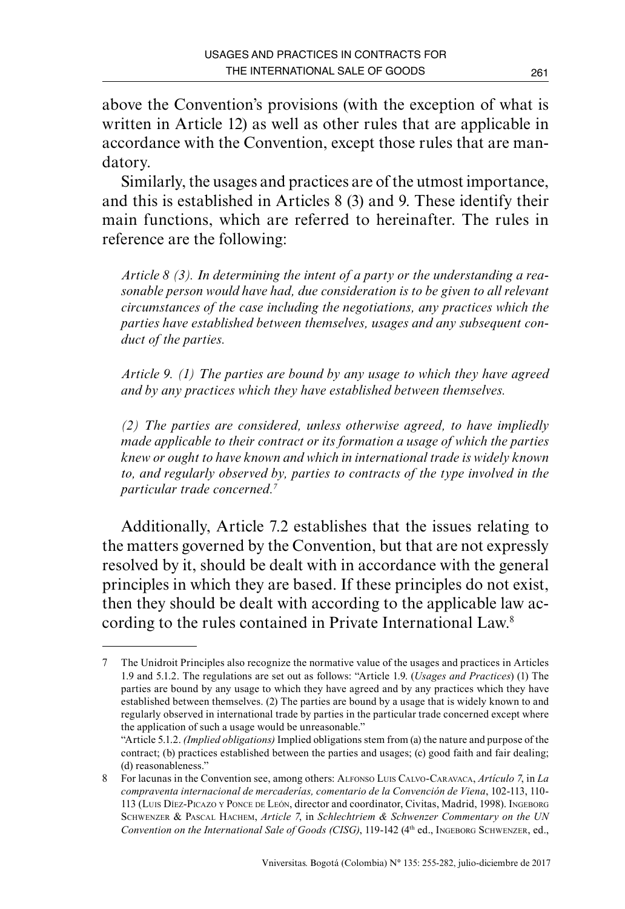above the Convention's provisions (with the exception of what is written in Article 12) as well as other rules that are applicable in accordance with the Convention, except those rules that are mandatory.

Similarly, the usages and practices are of the utmost importance, and this is established in Articles 8 (3) and 9. These identify their main functions, which are referred to hereinafter. The rules in reference are the following:

*Article 8 (3). In determining the intent of a party or the understanding a reasonable person would have had, due consideration is to be given to all relevant circumstances of the case including the negotiations, any practices which the parties have established between themselves, usages and any subsequent conduct of the parties.*

*Article 9. (1) The parties are bound by any usage to which they have agreed and by any practices which they have established between themselves.* 

*(2) The parties are considered, unless otherwise agreed, to have impliedly made applicable to their contract or its formation a usage of which the parties knew or ought to have known and which in international trade is widely known to, and regularly observed by, parties to contracts of the type involved in the particular trade concerned.7*

Additionally, Article 7.2 establishes that the issues relating to the matters governed by the Convention, but that are not expressly resolved by it, should be dealt with in accordance with the general principles in which they are based. If these principles do not exist, then they should be dealt with according to the applicable law according to the rules contained in Private International Law.8

<sup>7</sup> The Unidroit Principles also recognize the normative value of the usages and practices in Articles 1.9 and 5.1.2. The regulations are set out as follows: "Article 1.9. (*Usages and Practices*) (1) The parties are bound by any usage to which they have agreed and by any practices which they have established between themselves. (2) The parties are bound by a usage that is widely known to and regularly observed in international trade by parties in the particular trade concerned except where the application of such a usage would be unreasonable."

<sup>&</sup>quot;Article 5.1.2. *(Implied obligations)* Implied obligations stem from (a) the nature and purpose of the contract; (b) practices established between the parties and usages; (c) good faith and fair dealing; (d) reasonableness."

<sup>8</sup> For lacunas in the Convention see, among others: Alfonso Luis Calvo-Caravaca, *Artículo 7*, in *La compraventa internacional de mercaderías, comentario de la Convención de Viena*, 102-113, 110- 113 (Luis Díez-Picazo <sup>y</sup> Ponce de León, director and coordinator, Civitas, Madrid, 1998). Ingeborg Schwenzer & Pascal Hachem, *Article 7*, in *Schlechtriem & Schwenzer Commentary on the UN Convention on the International Sale of Goods (CISG)*, 119-142 (4<sup>th</sup> ed., INGEBORG SCHWENZER, ed.,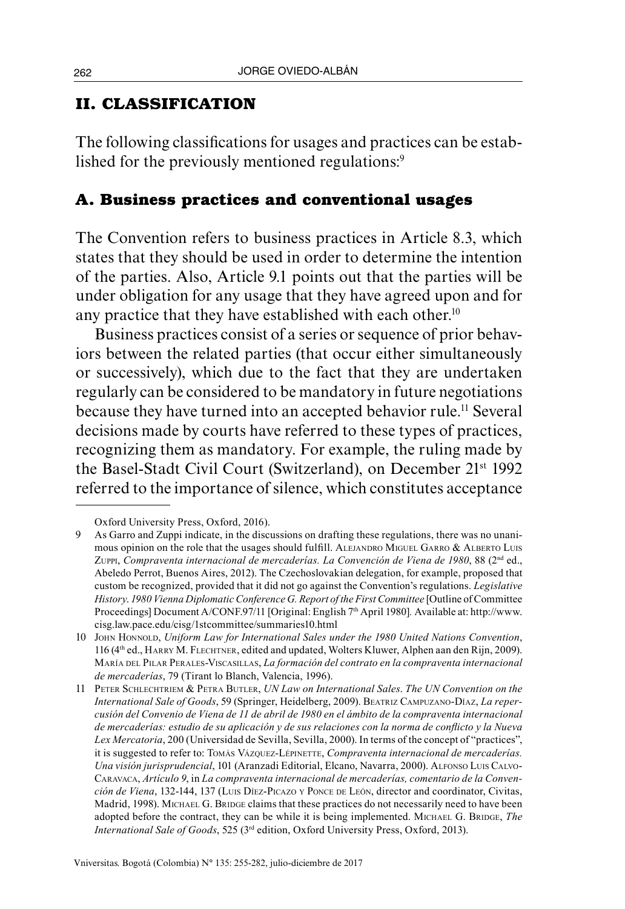### **II. CLASSIFICATION**

The following classifications for usages and practices can be established for the previously mentioned regulations:<sup>9</sup>

# **A. Business practices and conventional usages**

The Convention refers to business practices in Article 8.3, which states that they should be used in order to determine the intention of the parties. Also, Article 9.1 points out that the parties will be under obligation for any usage that they have agreed upon and for any practice that they have established with each other.<sup>10</sup>

Business practices consist of a series or sequence of prior behaviors between the related parties (that occur either simultaneously or successively), which due to the fact that they are undertaken regularly can be considered to be mandatory in future negotiations because they have turned into an accepted behavior rule.<sup>11</sup> Several decisions made by courts have referred to these types of practices, recognizing them as mandatory. For example, the ruling made by the Basel-Stadt Civil Court (Switzerland), on December 21st 1992 referred to the importance of silence, which constitutes acceptance

Oxford University Press, Oxford, 2016).

<sup>9</sup> As Garro and Zuppi indicate, in the discussions on drafting these regulations, there was no unanimous opinion on the role that the usages should fulfill. ALEJANDRO MIGUEL GARRO & ALBERTO LUIS Zuppi, *Compraventa internacional de mercaderías. La Convención de Viena de 1980*, 88 (2nd ed., Abeledo Perrot, Buenos Aires, 2012). The Czechoslovakian delegation, for example, proposed that custom be recognized, provided that it did not go against the Convention's regulations. *Legislative History*. *1980 Vienna Diplomatic Conference G. Report of the First Committee* [Outline of Committee Proceedings] Document A/CONF.97/11 [Original: English 7th April 1980]*.* Available at: http://www. cisg.law.pace.edu/cisg/1stcommittee/summaries10.html

<sup>10</sup> John Honnold, *Uniform Law for International Sales under the 1980 United Nations Convention*, 116 (4th ed., HARRY M. FLECHTNER, edited and updated, Wolters Kluwer, Alphen aan den Rijn, 2009). María del Pilar Perales-Viscasillas, *La formación del contrato en la compraventa internacional de mercaderías*, 79 (Tirant lo Blanch, Valencia, 1996).

<sup>11</sup> Peter Schlechtriem & Petra Butler, *UN Law on International Sales*. *The UN Convention on the International Sale of Goods*, 59 (Springer, Heidelberg, 2009). Beatriz Campuzano-Díaz, *La repercusión del Convenio de Viena de 11 de abril de 1980 en el ámbito de la compraventa internacional de mercaderías: estudio de su aplicación y de sus relaciones con la norma de conflicto y la Nueva Lex Mercatoria*, 200 (Universidad de Sevilla, Sevilla, 2000). In terms of the concept of "practices", it is suggested to refer to: Tomás Vázquez-Lépinerre, Compraventa internacional de mercaderías. *Una visión jurisprudencial*, 101 (Aranzadi Editorial, Elcano, Navarra, 2000). Alfonso Luis Calvo-Caravaca, *Artículo 9*, in *La compraventa internacional de mercaderías, comentario de la Convención de Viena*, 132-144, 137 (Luis Díez-Picazo <sup>y</sup> Ponce de León, director and coordinator, Civitas, Madrid, 1998). MICHAEL G. BRIDGE claims that these practices do not necessarily need to have been adopted before the contract, they can be while it is being implemented. MICHAEL G. BRIDGE, The *International Sale of Goods*, 525 (3rd edition, Oxford University Press, Oxford, 2013).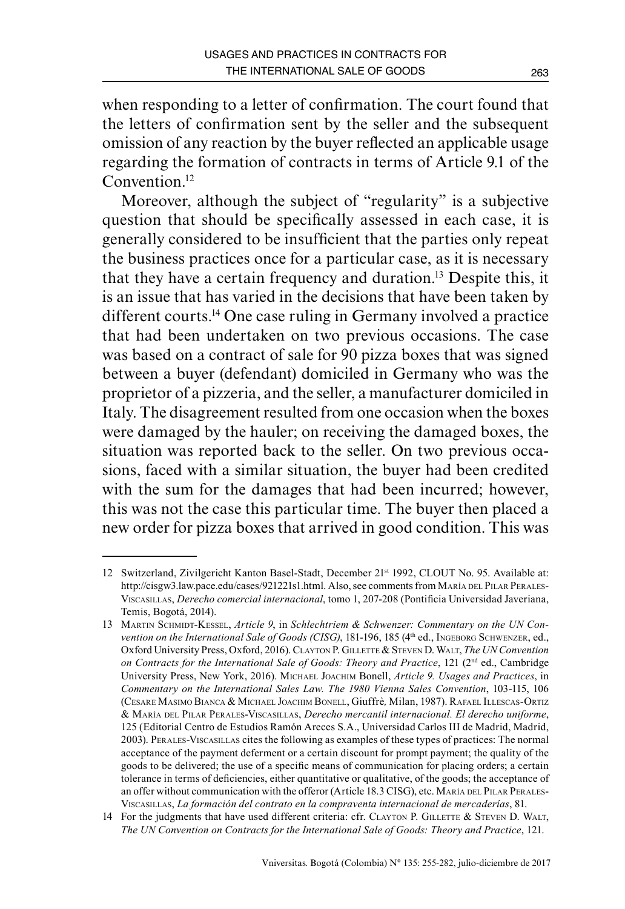when responding to a letter of confirmation. The court found that the letters of confirmation sent by the seller and the subsequent omission of any reaction by the buyer reflected an applicable usage regarding the formation of contracts in terms of Article 9.1 of the Convention.<sup>12</sup>

Moreover, although the subject of "regularity" is a subjective question that should be specifically assessed in each case, it is generally considered to be insufficient that the parties only repeat the business practices once for a particular case, as it is necessary that they have a certain frequency and duration.13 Despite this, it is an issue that has varied in the decisions that have been taken by different courts.14 One case ruling in Germany involved a practice that had been undertaken on two previous occasions. The case was based on a contract of sale for 90 pizza boxes that was signed between a buyer (defendant) domiciled in Germany who was the proprietor of a pizzeria, and the seller, a manufacturer domiciled in Italy. The disagreement resulted from one occasion when the boxes were damaged by the hauler; on receiving the damaged boxes, the situation was reported back to the seller. On two previous occasions, faced with a similar situation, the buyer had been credited with the sum for the damages that had been incurred; however, this was not the case this particular time. The buyer then placed a new order for pizza boxes that arrived in good condition. This was

<sup>12</sup> Switzerland, Zivilgericht Kanton Basel-Stadt, December 21st 1992, CLOUT No. 95. Available at: <http://cisgw3.law.pace.edu/cases/921221s1.html>. Also, see comments from MARÍA DEL PILAR PERALES-Viscasillas, *Derecho comercial internacional*, tomo 1, 207-208 (Pontificia Universidad Javeriana, Temis, Bogotá, 2014).

<sup>13</sup> Martin Schmidt-Kessel, *Article 9*, in *Schlechtriem & Schwenzer: Commentary on the UN Convention on the International Sale of Goods (CISG)*, 181-196, 185 (4<sup>th</sup> ed., INGEBORG SCHWENZER, ed., Oxford University Press, Oxford, 2016). Clayton P. Gillette & Steven D. Walt, *The UN Convention on Contracts for the International Sale of Goods: Theory and Practice*, 121 (2nd ed., Cambridge University Press, New York, 2016). Michael Joachim Bonell, *Article 9. Usages and Practices*, in *Commentary on the International Sales Law. The 1980 Vienna Sales Convention*, 103-115, 106 (Cesare Masimo Bianca & Michael Joachim Bonell, Giuffrè*,* Milan, 1987). Rafael Illescas-Ortiz & María del Pilar Perales-Viscasillas, *Derecho mercantil internacional. El derecho uniforme*, 125 (Editorial Centro de Estudios Ramón Areces S.A., Universidad Carlos III de Madrid, Madrid, 2003). Perales-Viscasillas cites the following as examples of these types of practices: The normal acceptance of the payment deferment or a certain discount for prompt payment; the quality of the goods to be delivered; the use of a specific means of communication for placing orders; a certain tolerance in terms of deficiencies, either quantitative or qualitative, of the goods; the acceptance of an offer without communication with the offeror (Article 18.3 CISG), etc. MARÍA DEL PILAR PERALES-Viscasillas, *La formación del contrato en la compraventa internacional de mercaderías*, 81.

<sup>14</sup> For the judgments that have used different criteria: cfr. CLAYTON P. GILLETTE & STEVEN D. WALT, *The UN Convention on Contracts for the International Sale of Goods: Theory and Practice*, 121.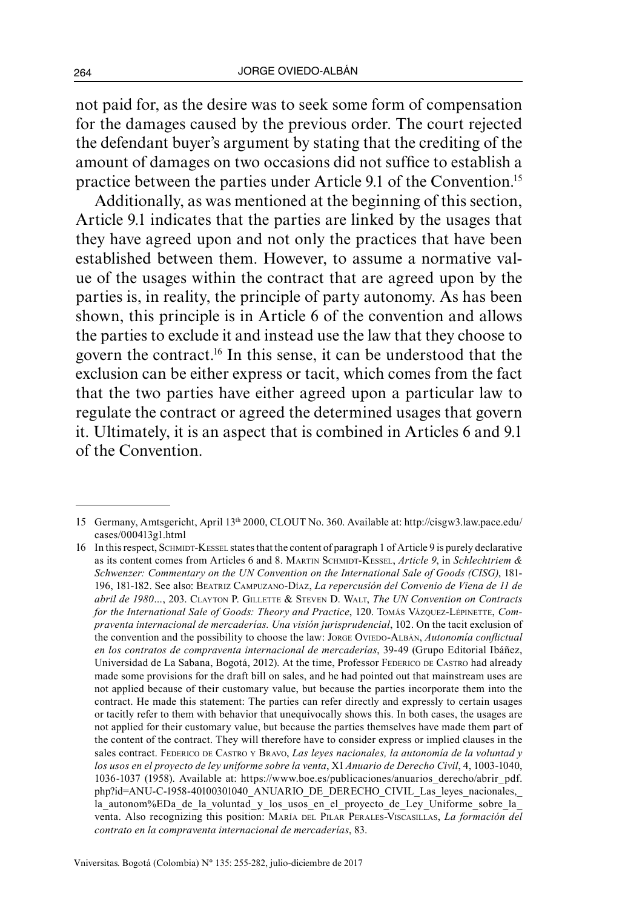not paid for, as the desire was to seek some form of compensation for the damages caused by the previous order. The court rejected the defendant buyer's argument by stating that the crediting of the amount of damages on two occasions did not suffice to establish a practice between the parties under Article 9.1 of the Convention.15

Additionally, as was mentioned at the beginning of this section, Article 9.1 indicates that the parties are linked by the usages that they have agreed upon and not only the practices that have been established between them. However, to assume a normative value of the usages within the contract that are agreed upon by the parties is, in reality, the principle of party autonomy. As has been shown, this principle is in Article 6 of the convention and allows the parties to exclude it and instead use the law that they choose to govern the contract.16 In this sense, it can be understood that the exclusion can be either express or tacit, which comes from the fact that the two parties have either agreed upon a particular law to regulate the contract or agreed the determined usages that govern it. Ultimately, it is an aspect that is combined in Articles 6 and 9.1 of the Convention.

<sup>15</sup> Germany, Amtsgericht, April 13th 2000, CLOUT No. 360. Available at: [http://cisgw3.law.pace.edu/](http://cisgw3.law.pace.edu/cases/000413g1.html) [cases/000413g1.html](http://cisgw3.law.pace.edu/cases/000413g1.html)

<sup>16</sup> In this respect, SCHMIDT-KESSEL states that the content of paragraph 1 of Article 9 is purely declarative as its content comes from Articles 6 and 8. Martin Schmidt-Kessel, *Article 9*, in *Schlechtriem & Schwenzer: Commentary on the UN Convention on the International Sale of Goods (CISG)*, 181- 196, 181-182. See also: Beatriz Campuzano-Díaz, *La repercusión del Convenio de Viena de 11 de abril de 1980…*, 203. Clayton P. Gillette & Steven D. Walt, *The UN Convention on Contracts*  for the International Sale of Goods: Theory and Practice, 120. TOMÁS VÁZQUEZ-LÉPINETTE, Com*praventa internacional de mercaderías. Una visión jurisprudencial*, 102. On the tacit exclusion of the convention and the possibility to choose the law: JORGE OVIEDO-ALBÁN, *Autonomía conflictual en los contratos de compraventa internacional de mercaderías*, 39-49 (Grupo Editorial Ibáñez, Universidad de La Sabana, Bogotá, 2012). At the time, Professor FEDERICO DE CASTRO had already made some provisions for the draft bill on sales, and he had pointed out that mainstream uses are not applied because of their customary value, but because the parties incorporate them into the contract. He made this statement: The parties can refer directly and expressly to certain usages or tacitly refer to them with behavior that unequivocally shows this. In both cases, the usages are not applied for their customary value, but because the parties themselves have made them part of the content of the contract. They will therefore have to consider express or implied clauses in the sales contract. FEDERICO DE CASTRO Y BRAVO, *Las leyes nacionales, la autonomía de la voluntad y los usos en el proyecto de ley uniforme sobre la venta*, XI *Anuario de Derecho Civil*, 4, 1003-1040, 1036-1037 (1958). Available at: https://www.boe.es/publicaciones/anuarios\_derecho/abrir\_pdf. php?id=ANU-C-1958-40100301040\_ANUARIO\_DE\_DERECHO\_CIVIL\_Las\_leyes\_nacionales,\_ la\_autonom%EDa\_de\_la\_voluntad\_y\_los\_usos\_en\_el\_proyecto\_de\_Ley\_Uniforme\_sobre\_la\_ venta. Also recognizing this position: María del Pilar Perales-Viscasillas, *La formación del contrato en la compraventa internacional de mercaderías*, 83.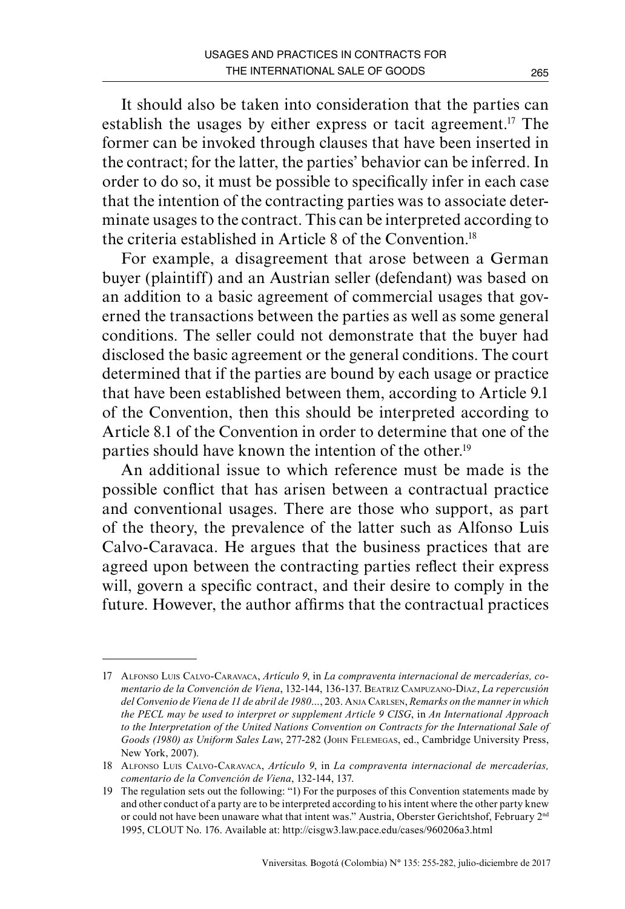It should also be taken into consideration that the parties can establish the usages by either express or tacit agreement.17 The former can be invoked through clauses that have been inserted in the contract; for the latter, the parties' behavior can be inferred. In order to do so, it must be possible to specifically infer in each case that the intention of the contracting parties was to associate determinate usages to the contract. This can be interpreted according to the criteria established in Article 8 of the Convention<sup>18</sup>

For example, a disagreement that arose between a German buyer (plaintiff) and an Austrian seller (defendant) was based on an addition to a basic agreement of commercial usages that governed the transactions between the parties as well as some general conditions. The seller could not demonstrate that the buyer had disclosed the basic agreement or the general conditions. The court determined that if the parties are bound by each usage or practice that have been established between them, according to Article 9.1 of the Convention, then this should be interpreted according to Article 8.1 of the Convention in order to determine that one of the parties should have known the intention of the other.<sup>19</sup>

An additional issue to which reference must be made is the possible conflict that has arisen between a contractual practice and conventional usages. There are those who support, as part of the theory, the prevalence of the latter such as Alfonso Luis Calvo-Caravaca. He argues that the business practices that are agreed upon between the contracting parties reflect their express will, govern a specific contract, and their desire to comply in the future. However, the author affirms that the contractual practices

<sup>17</sup> Alfonso Luis Calvo-Caravaca, *Artículo 9*, in *La compraventa internacional de mercaderías, comentario de la Convención de Viena*, 132-144, 136-137. Beatriz Campuzano-Díaz, *La repercusión del Convenio de Viena de 11 de abril de 1980…*, 203. Anja Carlsen, *Remarks on the manner in which the PECL may be used to interpret or supplement Article 9 CISG*, in *An International Approach to the Interpretation of the United Nations Convention on Contracts for the International Sale of Goods (1980) as Uniform Sales Law*, 277-282 (John Felemegas, ed., Cambridge University Press, New York, 2007).

<sup>18</sup> Alfonso Luis Calvo-Caravaca, *Artículo 9*, in *La compraventa internacional de mercaderías, comentario de la Convención de Viena*, 132-144, 137.

<sup>19</sup> The regulation sets out the following: "1) For the purposes of this Convention statements made by and other conduct of a party are to be interpreted according to his intent where the other party knew or could not have been unaware what that intent was." Austria, Oberster Gerichtshof, February 2<sup>nd</sup> 1995, CLOUT No. 176. Available at: [http://cisgw3.law.pace.edu/cases/960206a3.html](%20http://cisgw3.law.pace.edu/cases/960206a3.html)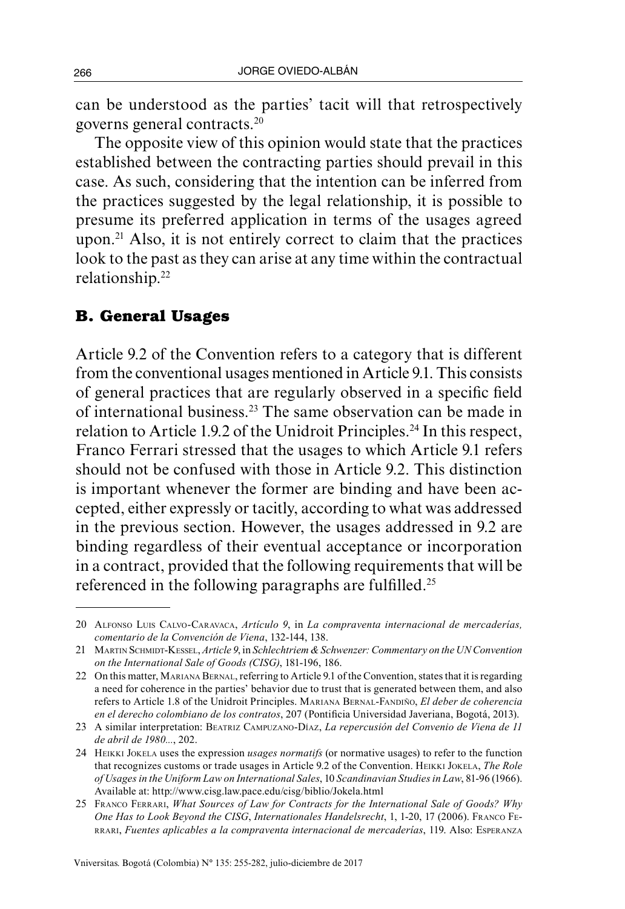can be understood as the parties' tacit will that retrospectively governs general contracts.20

The opposite view of this opinion would state that the practices established between the contracting parties should prevail in this case. As such, considering that the intention can be inferred from the practices suggested by the legal relationship, it is possible to presume its preferred application in terms of the usages agreed upon.21 Also, it is not entirely correct to claim that the practices look to the past as they can arise at any time within the contractual relationship.22

### **B. General Usages**

Article 9.2 of the Convention refers to a category that is different from the conventional usages mentioned in Article 9.1. This consists of general practices that are regularly observed in a specific field of international business.23 The same observation can be made in relation to Article 1.9.2 of the Unidroit Principles.<sup>24</sup> In this respect, Franco Ferrari stressed that the usages to which Article 9.1 refers should not be confused with those in Article 9.2. This distinction is important whenever the former are binding and have been accepted, either expressly or tacitly, according to what was addressed in the previous section. However, the usages addressed in 9.2 are binding regardless of their eventual acceptance or incorporation in a contract, provided that the following requirements that will be referenced in the following paragraphs are fulfilled.<sup>25</sup>

<sup>20</sup> Alfonso Luis Calvo-Caravaca, *Artículo 9*, in *La compraventa internacional de mercaderías, comentario de la Convención de Viena*, 132-144, 138.

<sup>21</sup> Martin Schmidt-Kessel, *Article 9*, in *Schlechtriem & Schwenzer:Commentary on the UN Convention on the International Sale of Goods (CISG)*, 181-196, 186.

<sup>22</sup> On this matter, Mariana Bernal, referring to Article 9.1 of the Convention, states that it is regarding a need for coherence in the parties' behavior due to trust that is generated between them, and also refers to Article 1.8 of the Unidroit Principles. Mariana Bernal-Fandiño, *El deber de coherencia en el derecho colombiano de los contratos*, 207 (Pontificia Universidad Javeriana, Bogotá, 2013).

<sup>23</sup> A similar interpretation: Beatriz Campuzano-Díaz, *La repercusión del Convenio de Viena de 11 de abril de 1980...*, 202.

<sup>24</sup> Heikki Jokela uses the expression *usages normatifs* (or normative usages) to refer to the function that recognizes customs or trade usages in Article 9.2 of the Convention. Heikki Jokela, *The Role of Usages in the Uniform Law on International Sales*, 10 *Scandinavian Studies in Law*, 81-96 (1966). Available at: http://www.cisg.law.pace.edu/cisg/biblio/Jokela.html

<sup>25</sup> Franco Ferrari, *What Sources of Law for Contracts for the International Sale of Goods? Why One Has to Look Beyond the CISG*, *Internationales Handelsrecht*, 1, 1-20, 17 (2006). Franco Ferrari, *Fuentes aplicables a la compraventa internacional de mercaderías*, 119. Also: Esperanza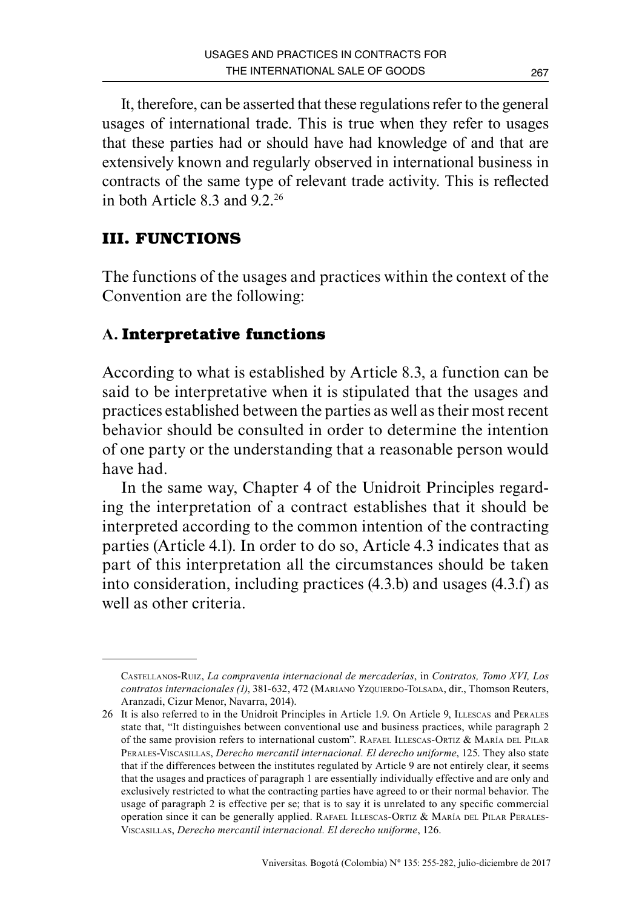It, therefore, can be asserted that these regulations refer to the general usages of international trade. This is true when they refer to usages that these parties had or should have had knowledge of and that are extensively known and regularly observed in international business in contracts of the same type of relevant trade activity. This is reflected in both Article  $8.3$  and  $9.2$ <sup>26</sup>

# **III. FUNCTIONS**

The functions of the usages and practices within the context of the Convention are the following:

# **A. Interpretative functions**

According to what is established by Article 8.3, a function can be said to be interpretative when it is stipulated that the usages and practices established between the parties as well as their most recent behavior should be consulted in order to determine the intention of one party or the understanding that a reasonable person would have had.

In the same way, Chapter 4 of the Unidroit Principles regarding the interpretation of a contract establishes that it should be interpreted according to the common intention of the contracting parties (Article 4.1). In order to do so, Article 4.3 indicates that as part of this interpretation all the circumstances should be taken into consideration, including practices (4.3.b) and usages (4.3.f) as well as other criteria.

Castellanos-Ruiz, *La compraventa internacional de mercaderías*, in *Contratos, Tomo XVI, Los contratos internacionales (1)*, 381-632, 472 (MARIANO YZQUIERDO-TOLSADA, dir., Thomson Reuters, Aranzadi, Cizur Menor, Navarra, 2014).

<sup>26</sup> It is also referred to in the Unidroit Principles in Article 1.9. On Article 9, ILLESCAS and PERALES state that, "It distinguishes between conventional use and business practices, while paragraph 2 of the same provision refers to international custom". RAFAEL ILLESCAS-ORTIZ & MARÍA DEL PILAR Perales-Viscasillas, *Derecho mercantil internacional. El derecho uniforme*, 125. They also state that if the differences between the institutes regulated by Article 9 are not entirely clear, it seems that the usages and practices of paragraph 1 are essentially individually effective and are only and exclusively restricted to what the contracting parties have agreed to or their normal behavior. The usage of paragraph 2 is effective per se; that is to say it is unrelated to any specific commercial operation since it can be generally applied. RAFAEL ILLESCAS-ORTIZ & MARÍA DEL PILAR PERALES-Viscasillas, *Derecho mercantil internacional. El derecho uniforme*, 126.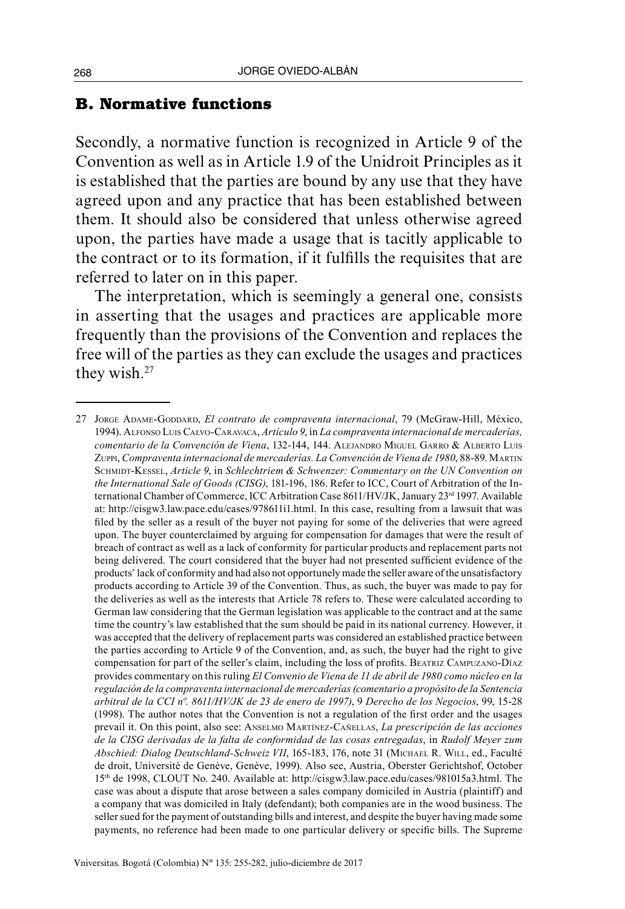### **B. Normative functions**

Secondly, a normative function is recognized in Article 9 of the Convention as well as in Article 1.9 of the Unidroit Principles as it is established that the parties are bound by any use that they have agreed upon and any practice that has been established between them. It should also be considered that unless otherwise agreed upon, the parties have made a usage that is tacitly applicable to the contract or to its formation, if it fulfills the requisites that are referred to later on in this paper.

The interpretation, which is seemingly a general one, consists in asserting that the usages and practices are applicable more frequently than the provisions of the Convention and replaces the free will of the parties as they can exclude the usages and practices they wish.<sup>27</sup>

<sup>27</sup> Jorge Adame-Goddard, *El contrato de compraventa internacional*, 79 (McGraw-Hill, México, 1994). Alfonso Luis Calvo-Caravaca, *Artículo 9*, in *La compraventa internacional de mercaderías, comentario de la Convención de Viena*, 132-144, 144. Alejandro Miguel Garro & Alberto Luis Zuppi, *Compraventa internacional de mercaderías. La Convención de Viena de 1980*, 88-89. Martin Schmidt-Kessel, *Article 9*, in *Schlechtriem & Schwenzer: Commentary on the UN Convention on the International Sale of Goods (CISG)*, 181-196, 186. Refer to ICC, Court of Arbitration of the International Chamber of Commerce, ICC Arbitration Case 8611/HV/JK, January 23rd 1997. Available at: <http://cisgw3.law.pace.edu/cases/978611i1.html>. In this case, resulting from a lawsuit that was filed by the seller as a result of the buyer not paying for some of the deliveries that were agreed upon. The buyer counterclaimed by arguing for compensation for damages that were the result of breach of contract as well as a lack of conformity for particular products and replacement parts not being delivered. The court considered that the buyer had not presented sufficient evidence of the products' lack of conformity and had also not opportunely made the seller aware of the unsatisfactory products according to Article 39 of the Convention. Thus, as such, the buyer was made to pay for the deliveries as well as the interests that Article 78 refers to. These were calculated according to German law considering that the German legislation was applicable to the contract and at the same time the country's law established that the sum should be paid in its national currency. However, it was accepted that the delivery of replacement parts was considered an established practice between the parties according to Article 9 of the Convention, and, as such, the buyer had the right to give compensation for part of the seller's claim, including the loss of profits. Beatriz Campuzano-Díaz provides commentary on this ruling *El Convenio de Viena de 11 de abril de 1980 como núcleo en la regulación de la compraventa internacional de mercaderías (comentario a propósito de la Sentencia arbitral de la CCI nº. 8611/HV/JK de 23 de enero de 1997)*, 9 *Derecho de los Negocios*, 99, 15-28 (1998). The author notes that the Convention is not a regulation of the first order and the usages prevail it. On this point, also see: Anselmo Martínez-Cañellas, *La prescripción de las acciones de la CISG derivadas de la falta de conformidad de las cosas entregadas*, in *Rudolf Meyer zum*  Abschied: Dialog Deutschland-Schweiz VII, 165-183, 176, note 31 (MICHAEL R. WILL, ed., Faculté de droit, Université de Genève, Genève, 1999). Also see, Austria, Oberster Gerichtshof, October 15th de 1998, CLOUT No. 240. Available at:<http://cisgw3.law.pace.edu/cases/981015a3.html>. The case was about a dispute that arose between a sales company domiciled in Austria (plaintiff) and a company that was domiciled in Italy (defendant); both companies are in the wood business. The seller sued for the payment of outstanding bills and interest, and despite the buyer having made some payments, no reference had been made to one particular delivery or specific bills. The Supreme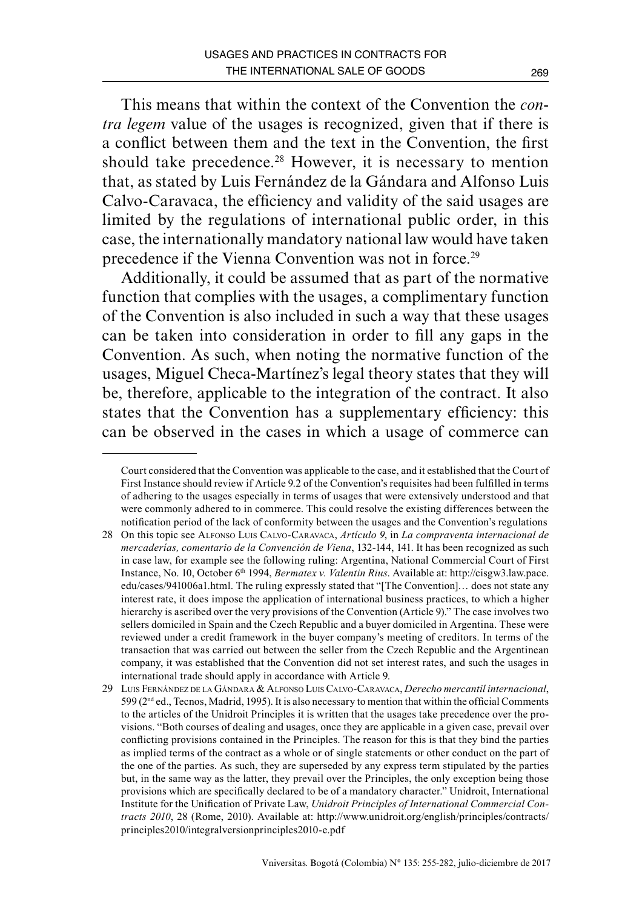This means that within the context of the Convention the *contra legem* value of the usages is recognized, given that if there is a conflict between them and the text in the Convention, the first should take precedence.<sup>28</sup> However, it is necessary to mention that, as stated by Luis Fernández de la Gándara and Alfonso Luis Calvo-Caravaca, the efficiency and validity of the said usages are limited by the regulations of international public order, in this case, the internationally mandatory national law would have taken precedence if the Vienna Convention was not in force.<sup>29</sup>

Additionally, it could be assumed that as part of the normative function that complies with the usages, a complimentary function of the Convention is also included in such a way that these usages can be taken into consideration in order to fill any gaps in the Convention. As such, when noting the normative function of the usages, Miguel Checa-Martínez's legal theory states that they will be, therefore, applicable to the integration of the contract. It also states that the Convention has a supplementary efficiency: this can be observed in the cases in which a usage of commerce can

Court considered that the Convention was applicable to the case, and it established that the Court of First Instance should review if Article 9.2 of the Convention's requisites had been fulfilled in terms of adhering to the usages especially in terms of usages that were extensively understood and that were commonly adhered to in commerce. This could resolve the existing differences between the notification period of the lack of conformity between the usages and the Convention's regulations

<sup>28</sup> On this topic see Alfonso Luis Calvo-Caravaca, *Artículo 9*, in *La compraventa internacional de mercaderías, comentario de la Convención de Viena*, 132-144, 141. It has been recognized as such in case law, for example see the following ruling: Argentina, National Commercial Court of First Instance, No. 10, October 6th 1994, *Bermatex v. Valentin Rius*. Available at: [http://cisgw3.law.pace.](http://cisgw3.law.pace.edu/cases/941006a1.html) [edu/cases/941006a1.html.](http://cisgw3.law.pace.edu/cases/941006a1.html) The ruling expressly stated that "[The Convention]… does not state any interest rate, it does impose the application of international business practices, to which a higher hierarchy is ascribed over the very provisions of the Convention (Article 9)." The case involves two sellers domiciled in Spain and the Czech Republic and a buyer domiciled in Argentina. These were reviewed under a credit framework in the buyer company's meeting of creditors. In terms of the transaction that was carried out between the seller from the Czech Republic and the Argentinean company, it was established that the Convention did not set interest rates, and such the usages in international trade should apply in accordance with Article 9.

<sup>29</sup> Luis Fernández de la Gándara & Alfonso Luis Calvo-Caravaca, *Derecho mercantil internacional*,  $599(2<sup>nd</sup> ed., Tecnos, Madrid, 1995)$ . It is also necessary to mention that within the official Comments to the articles of the Unidroit Principles it is written that the usages take precedence over the provisions. "Both courses of dealing and usages, once they are applicable in a given case, prevail over conflicting provisions contained in the Principles. The reason for this is that they bind the parties as implied terms of the contract as a whole or of single statements or other conduct on the part of the one of the parties. As such, they are superseded by any express term stipulated by the parties but, in the same way as the latter, they prevail over the Principles, the only exception being those provisions which are specifically declared to be of a mandatory character." Unidroit, International Institute for the Unification of Private Law, *Unidroit Principles of International Commercial Contracts 2010*, 28 (Rome, 2010). Available at: [http://www.unidroit.org/english/principles/contracts/](http://www.unidroit.org/english/principles/contracts/principles2010/integralversionprinciples2010-e.pdf) [principles2010/integralversionprinciples2010-e.pdf](http://www.unidroit.org/english/principles/contracts/principles2010/integralversionprinciples2010-e.pdf)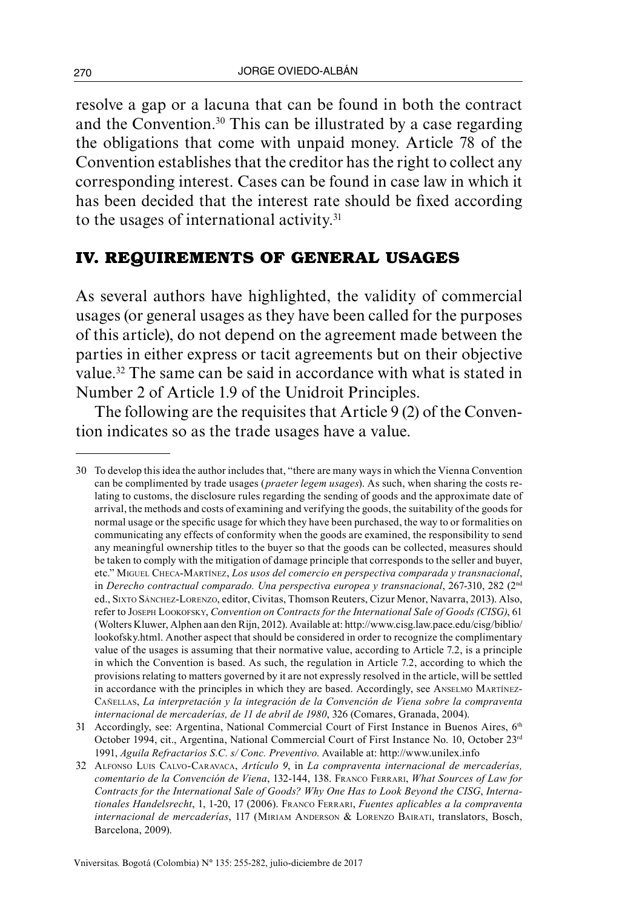resolve a gap or a lacuna that can be found in both the contract and the Convention.30 This can be illustrated by a case regarding the obligations that come with unpaid money. Article 78 of the Convention establishes that the creditor has the right to collect any corresponding interest. Cases can be found in case law in which it has been decided that the interest rate should be fixed according to the usages of international activity.<sup>31</sup>

## **IV. REQUIREMENTS OF GENERAL USAGES**

As several authors have highlighted, the validity of commercial usages (or general usages as they have been called for the purposes of this article), do not depend on the agreement made between the parties in either express or tacit agreements but on their objective value.<sup>32</sup> The same can be said in accordance with what is stated in Number 2 of Article 1.9 of the Unidroit Principles.

The following are the requisites that Article 9 (2) of the Convention indicates so as the trade usages have a value.

<sup>30</sup> To develop this idea the author includes that, "there are many ways in which the Vienna Convention can be complimented by trade usages (*praeter legem usages*). As such, when sharing the costs relating to customs, the disclosure rules regarding the sending of goods and the approximate date of arrival, the methods and costs of examining and verifying the goods, the suitability of the goods for normal usage or the specific usage for which they have been purchased, the way to or formalities on communicating any effects of conformity when the goods are examined, the responsibility to send any meaningful ownership titles to the buyer so that the goods can be collected, measures should be taken to comply with the mitigation of damage principle that corresponds to the seller and buyer, etc." Miguel Checa-Martínez, *Los usos del comercio en perspectiva comparada y transnacional*, in *Derecho contractual comparado. Una perspectiva europea y transnacional*, 267-310, 282 (2nd ed., Sixto Sánchez-Lorenzo, editor, Civitas, Thomson Reuters, Cizur Menor, Navarra, 2013). Also, refer to Joseph Lookofsky, *Convention on Contracts for the International Sale of Goods (CISG)*, 61 (Wolters Kluwer, Alphen aan den Rijn, 2012). Available at: http://www.cisg.law.pace.edu/cisg/biblio/ lookofsky.html. Another aspect that should be considered in order to recognize the complimentary value of the usages is assuming that their normative value, according to Article 7.2, is a principle in which the Convention is based. As such, the regulation in Article 7.2, according to which the provisions relating to matters governed by it are not expressly resolved in the article, will be settled in accordance with the principles in which they are based. Accordingly, see ANSELMO MARTÍNEZ-Cañellas, *La interpretación y la integración de la Convención de Viena sobre la compraventa internacional de mercaderías, de 11 de abril de 1980*, 326 (Comares, Granada, 2004).

<sup>31</sup> Accordingly, see: Argentina, National Commercial Court of First Instance in Buenos Aires, 6<sup>th</sup> October 1994, cit., Argentina, National Commercial Court of First Instance No. 10, October 23rd 1991, *Aguila Refractarios S.C. s/ Conc. Preventivo*. Available at:<http://www.unilex.info>

<sup>32</sup> Alfonso Luis Calvo-Caravaca, *Artículo 9*, in *La compraventa internacional de mercaderías, comentario de la Convención de Viena*, 132-144, 138. Franco Ferrari, *What Sources of Law for Contracts for the International Sale of Goods? Why One Has to Look Beyond the CISG*, *Internationales Handelsrecht*, 1, 1-20, 17 (2006). Franco Ferrari, *Fuentes aplicables a la compraventa internacional de mercaderías*, 117 (Miriam Anderson & Lorenzo Bairati, translators, Bosch, Barcelona, 2009).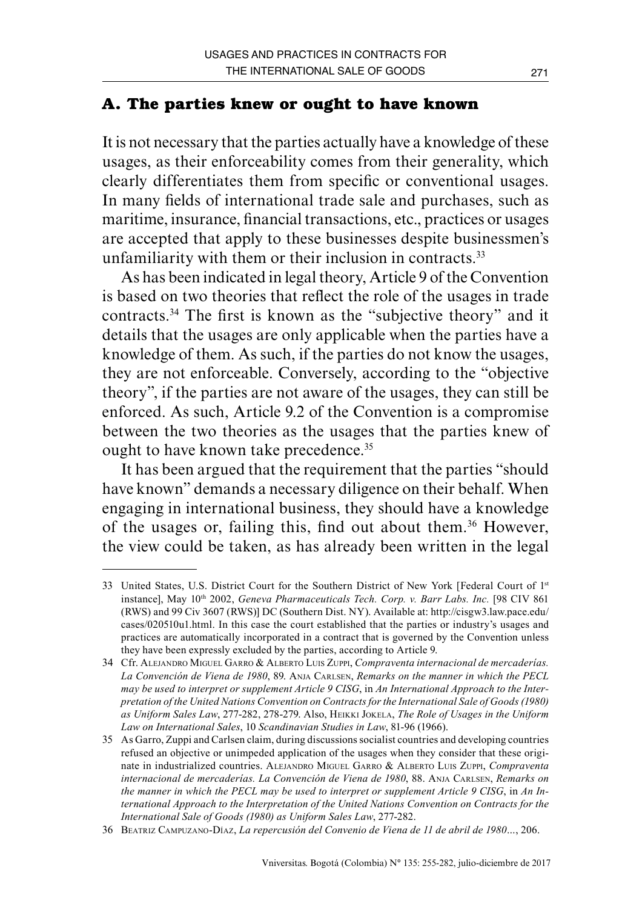## **A. The parties knew or ought to have known**

It is not necessary that the parties actually have a knowledge of these usages, as their enforceability comes from their generality, which clearly differentiates them from specific or conventional usages. In many fields of international trade sale and purchases, such as maritime, insurance, financial transactions, etc., practices or usages are accepted that apply to these businesses despite businessmen's unfamiliarity with them or their inclusion in contracts.<sup>33</sup>

As has been indicated in legal theory, Article 9 of the Convention is based on two theories that reflect the role of the usages in trade contracts.34 The first is known as the "subjective theory" and it details that the usages are only applicable when the parties have a knowledge of them. As such, if the parties do not know the usages, they are not enforceable. Conversely, according to the "objective theory", if the parties are not aware of the usages, they can still be enforced. As such, Article 9.2 of the Convention is a compromise between the two theories as the usages that the parties knew of ought to have known take precedence.<sup>35</sup>

It has been argued that the requirement that the parties "should have known" demands a necessary diligence on their behalf. When engaging in international business, they should have a knowledge of the usages or, failing this, find out about them.36 However, the view could be taken, as has already been written in the legal

<sup>33</sup> United States, U.S. District Court for the Southern District of New York [Federal Court of 1st instance], May 10<sup>th</sup> 2002, *Geneva Pharmaceuticals Tech. Corp. v. Barr Labs. Inc.* [98 CIV 861 (RWS) and 99 Civ 3607 (RWS)] DC (Southern Dist. NY). Available at: [http://cisgw3.law.pace.edu/](http://cisgw3.law.pace.edu/cases/020510u1.html) [cases/020510u1.html.](http://cisgw3.law.pace.edu/cases/020510u1.html) In this case the court established that the parties or industry's usages and practices are automatically incorporated in a contract that is governed by the Convention unless they have been expressly excluded by the parties, according to Article 9.

<sup>34</sup> Cfr. Alejandro Miguel Garro & Alberto Luis Zuppi, *Compraventa internacional de mercaderías. La Convención de Viena de 1980*, 89. Anja Carlsen, *Remarks on the manner in which the PECL may be used to interpret or supplement Article 9 CISG*, in *An International Approach to the Interpretation of the United Nations Convention on Contracts for the International Sale of Goods (1980) as Uniform Sales Law*, 277-282, 278-279. Also, Heikki Jokela, *The Role of Usages in the Uniform Law on International Sales*, 10 *Scandinavian Studies in Law*, 81-96 (1966).

<sup>35</sup> As Garro, Zuppi and Carlsen claim, during discussions socialist countries and developing countries refused an objective or unimpeded application of the usages when they consider that these originate in industrialized countries. Alejandro Miguel Garro & Alberto Luis Zuppi, *Compraventa internacional de mercaderías. La Convención de Viena de 1980*, 88. Anja Carlsen, *Remarks on the manner in which the PECL may be used to interpret or supplement Article 9 CISG*, in *An International Approach to the Interpretation of the United Nations Convention on Contracts for the International Sale of Goods (1980) as Uniform Sales Law*, 277-282.

<sup>36</sup> Beatriz Campuzano-Díaz, *La repercusión del Convenio de Viena de 11 de abril de 1980…*, 206.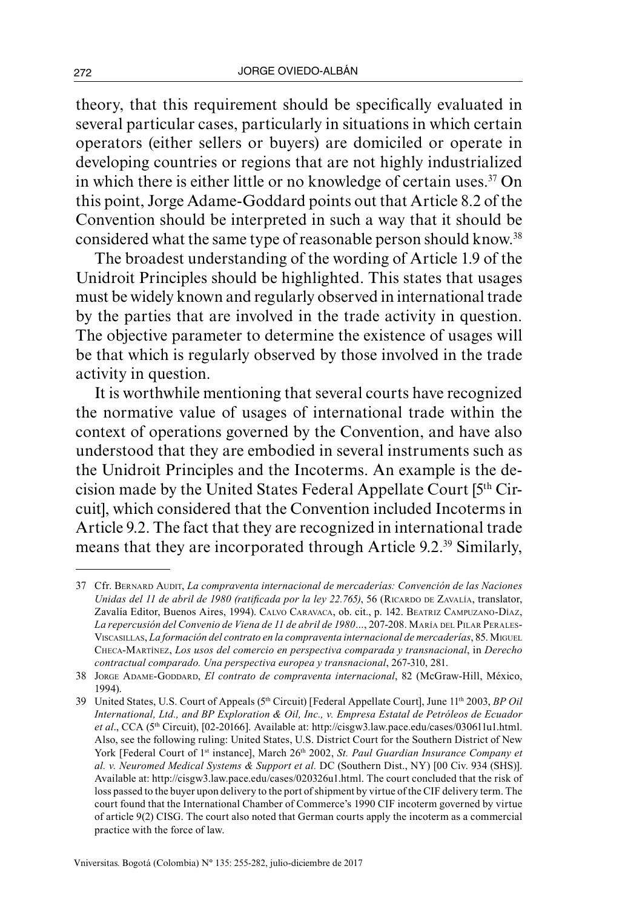theory, that this requirement should be specifically evaluated in several particular cases, particularly in situations in which certain operators (either sellers or buyers) are domiciled or operate in developing countries or regions that are not highly industrialized in which there is either little or no knowledge of certain uses.<sup>37</sup> On this point, Jorge Adame-Goddard points out that Article 8.2 of the Convention should be interpreted in such a way that it should be considered what the same type of reasonable person should know.38

The broadest understanding of the wording of Article 1.9 of the Unidroit Principles should be highlighted. This states that usages must be widely known and regularly observed in international trade by the parties that are involved in the trade activity in question. The objective parameter to determine the existence of usages will be that which is regularly observed by those involved in the trade activity in question.

It is worthwhile mentioning that several courts have recognized the normative value of usages of international trade within the context of operations governed by the Convention, and have also understood that they are embodied in several instruments such as the Unidroit Principles and the Incoterms. An example is the decision made by the United States Federal Appellate Court [5th Circuit], which considered that the Convention included Incoterms in Article 9.2. The fact that they are recognized in international trade means that they are incorporated through Article 9.2.39 Similarly,

<sup>37</sup> Cfr. Bernard Audit, *La compraventa internacional de mercaderías: Convención de las Naciones Unidas del 11 de abril de 1980 (ratificada por la ley 22.765)*, 56 (RICARDO DE ZAVALÍA, translator, Zavalía Editor, Buenos Aires, 1994). Calvo Caravaca, ob. cit., p. 142. Beatriz Campuzano-Díaz, La repercusión del Convenio de Viena de 11 de abril de 1980..., 207-208. MARÍA DEL PILAR PERALES-Viscasillas, *La formación del contrato en la compraventa internacional de mercaderías*, 85. Miguel Checa-Martínez, *Los usos del comercio en perspectiva comparada y transnacional*, in *Derecho contractual comparado. Una perspectiva europea y transnacional*, 267-310, 281.

<sup>38</sup> Jorge Adame-Goddard, *El contrato de compraventa internacional*, 82 (McGraw-Hill, México, 1994).

<sup>39</sup> United States, U.S. Court of Appeals (5th Circuit) [Federal Appellate Court], June 11th 2003, *BP Oil International, Ltd., and BP Exploration & Oil, Inc., v. Empresa Estatal de Petróleos de Ecuador et al*., CCA (5th Circuit), [02-20166]. Available at: <http://cisgw3.law.pace.edu/cases/030611u1.html>. Also, see the following ruling: United States, U.S. District Court for the Southern District of New York [Federal Court of 1<sup>st</sup> instance], March 26<sup>th</sup> 2002, *St. Paul Guardian Insurance Company et al. v. Neuromed Medical Systems & Support et al.* [DC \(Southern Dist., NY\) \[00 Civ. 934 \(SHS\)\]](http://cisgw3.law.pace.edu/cases/020326u1.html). Available at: [http://cisgw3.law.pace.edu/cases/020326u1.html.](http://cisgw3.law.pace.edu/cases/020326u1.html) The court concluded that the risk of loss passed to the buyer upon delivery to the port of shipment by virtue of the CIF delivery term. The court found that the International Chamber of Commerce's 1990 CIF incoterm governed by virtue of article 9(2) CISG. The court also noted that German courts apply the incoterm as a commercial practice with the force of law.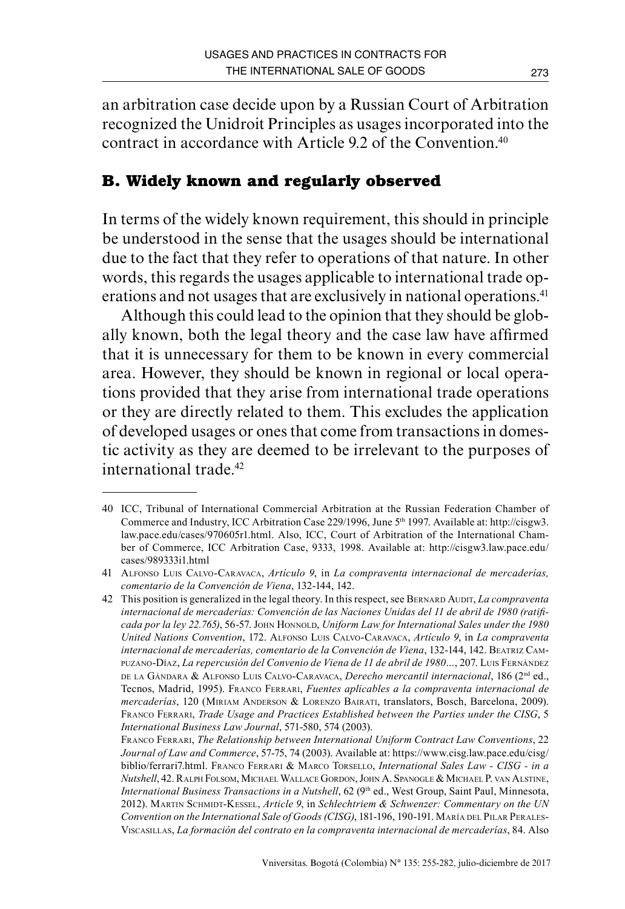an arbitration case decide upon by a Russian Court of Arbitration recognized the Unidroit Principles as usages incorporated into the contract in accordance with Article 9.2 of the Convention<sup>40</sup>

# **B. Widely known and regularly observed**

In terms of the widely known requirement, this should in principle be understood in the sense that the usages should be international due to the fact that they refer to operations of that nature. In other words, this regards the usages applicable to international trade operations and not usages that are exclusively in national operations.<sup>41</sup>

Although this could lead to the opinion that they should be globally known, both the legal theory and the case law have affirmed that it is unnecessary for them to be known in every commercial area. However, they should be known in regional or local operations provided that they arise from international trade operations or they are directly related to them. This excludes the application of developed usages or ones that come from transactions in domestic activity as they are deemed to be irrelevant to the purposes of international trade.<sup>42</sup>

<sup>40</sup> ICC, Tribunal of International Commercial Arbitration at the Russian Federation Chamber of Commerce and Industry, ICC Arbitration Case 229/1996, June 5th 1997. Available at: [http://cisgw3.](http://cisgw3.law.pace.edu/cases/970605r1.html) [law.pace.edu/cases/970605r1.html](http://cisgw3.law.pace.edu/cases/970605r1.html). Also, ICC, Court of Arbitration of the International Chamber of Commerce, ICC Arbitration Case, 9333, 1998. Available at: [http://cisgw3.law.pace.edu/](http://cisgw3.law.pace.edu/cases/989333i1.html) [cases/989333i1.html](http://cisgw3.law.pace.edu/cases/989333i1.html)

<sup>41</sup> Alfonso Luis Calvo-Caravaca, *Artículo 9*, in *La compraventa internacional de mercaderías, comentario de la Convención de Viena*, 132-144, 142.

<sup>42</sup> This position is generalized in the legal theory. In this respect, see Bernard Audit, *La compraventa internacional de mercaderías: Convención de las Naciones Unidas del 11 de abril de 1980 (ratifi*cada por la ley 22.765), 56-57. John Honnold, *Uniform Law for International Sales under the 1980 United Nations Convention*, 172. Alfonso Luis Calvo-Caravaca, *Artículo 9*, in *La compraventa internacional de mercaderías, comentario de la Convención de Viena*, 132-144, 142. Beatriz Campuzano-Díaz, *La repercusión del Convenio de Viena de 11 de abril de 1980…*, 207. Luis Fernández de la Gándara & Alfonso Luis Calvo-Caravaca, *Derecho mercantil internacional*, 186 (2nd ed., Tecnos, Madrid, 1995). Franco Ferrari, *Fuentes aplicables a la compraventa internacional de mercaderías*, 120 (Miriam Anderson & Lorenzo Bairati, translators, Bosch, Barcelona, 2009). Franco Ferrari, *Trade Usage and Practices Established between the Parties under the CISG*, 5 *International Business Law Journal*, 571-580, 574 (2003).

Franco Ferrari, *The Relationship between International Uniform Contract Law Conventions*, 22 *Journal of Law and Commerce*, 57-75, 74 (2003). Available at: https://www.cisg.law.pace.edu/cisg/ biblio/ferrari7.html. Franco Ferrari & Marco Torsello, *International Sales Law - CISG - in a Nutshell*, 42. Ralph Folsom, Michael Wallace Gordon, John A. Spanogle & Michael P. van Alstine, *International Business Transactions in a Nutshell*, 62 (9th ed., West Group, Saint Paul, Minnesota, 2012). Martin Schmidt-Kessel, *Article 9*, in *Schlechtriem & Schwenzer: Commentary on the UN Convention on the International Sale of Goods (CISG)*, 181-196, 190-191. María del Pilar Perales-Viscasillas, *La formación del contrato en la compraventa internacional de mercaderías*, 84. Also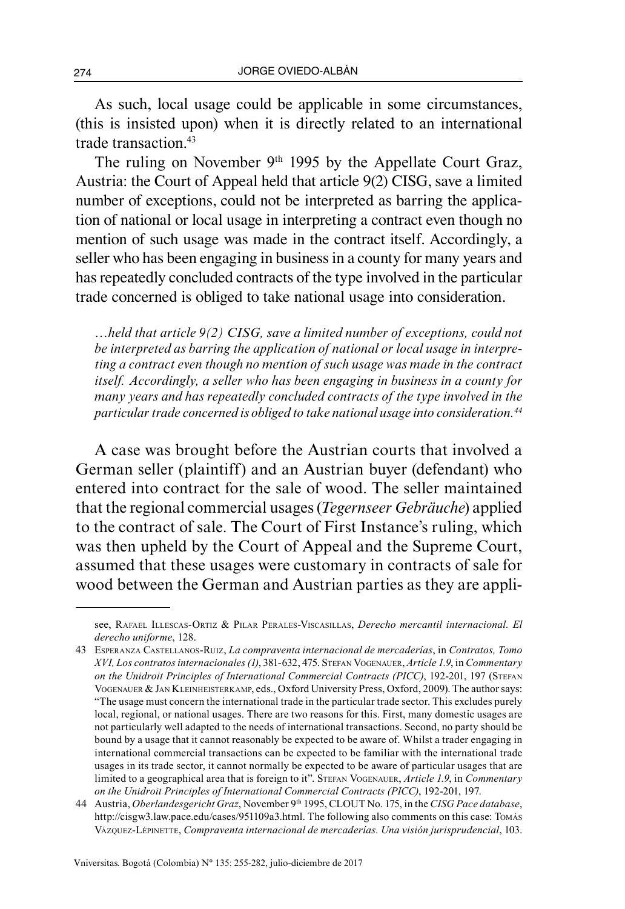As such, local usage could be applicable in some circumstances, (this is insisted upon) when it is directly related to an international trade transaction.43

The ruling on November 9<sup>th</sup> 1995 by the Appellate Court Graz, Austria: the Court of Appeal held that article 9(2) CISG, save a limited number of exceptions, could not be interpreted as barring the application of national or local usage in interpreting a contract even though no mention of such usage was made in the contract itself. Accordingly, a seller who has been engaging in business in a county for many years and has repeatedly concluded contracts of the type involved in the particular trade concerned is obliged to take national usage into consideration.

*…held that article 9(2) CISG, save a limited number of exceptions, could not be interpreted as barring the application of national or local usage in interpreting a contract even though no mention of such usage was made in the contract itself. Accordingly, a seller who has been engaging in business in a county for many years and has repeatedly concluded contracts of the type involved in the particular trade concerned is obliged to take national usage into consideration.44*

A case was brought before the Austrian courts that involved a German seller (plaintiff) and an Austrian buyer (defendant) who entered into contract for the sale of wood. The seller maintained that the regional commercial usages (*Tegernseer Gebräuche*) applied to the contract of sale. The Court of First Instance's ruling, which was then upheld by the Court of Appeal and the Supreme Court, assumed that these usages were customary in contracts of sale for wood between the German and Austrian parties as they are appli-

see, Rafael Illescas-Ortiz & Pilar Perales-Viscasillas, *Derecho mercantil internacional. El derecho uniforme*, 128.

<sup>43</sup> Esperanza Castellanos-Ruiz, *La compraventa internacional de mercaderías*, in *Contratos, Tomo XVI, Los contratos internacionales (1)*, 381-632, 475. Stefan Vogenauer, *Article 1.9*, in *Commentary on the Unidroit Principles of International Commercial Contracts (PICC)*, 192-201, 197 (Stefan Vogenauer & Jan Kleinheisterkamp, eds., Oxford University Press, Oxford, 2009). The author says: "The usage must concern the international trade in the particular trade sector. This excludes purely local, regional, or national usages. There are two reasons for this. First, many domestic usages are not particularly well adapted to the needs of international transactions. Second, no party should be bound by a usage that it cannot reasonably be expected to be aware of. Whilst a trader engaging in international commercial transactions can be expected to be familiar with the international trade usages in its trade sector, it cannot normally be expected to be aware of particular usages that are limited to a geographical area that is foreign to it". Stefan Vogenauer, *Article 1.9*, in *Commentary on the Unidroit Principles of International Commercial Contracts (PICC)*, 192-201, 197.

<sup>44</sup> Austria, *Oberlandesgericht Graz*, November 9th 1995, CLOUT No. 175, in the *CISG Pace database*, [http://cisgw3.law.pace.edu/cases/951109a3.html.](http://cisgw3.law.pace.edu/cases/951109a3.html) The following also comments on this case: Tomás Vázquez-Lépinette, *Compraventa internacional de mercaderías. Una visión jurisprudencial*, 103.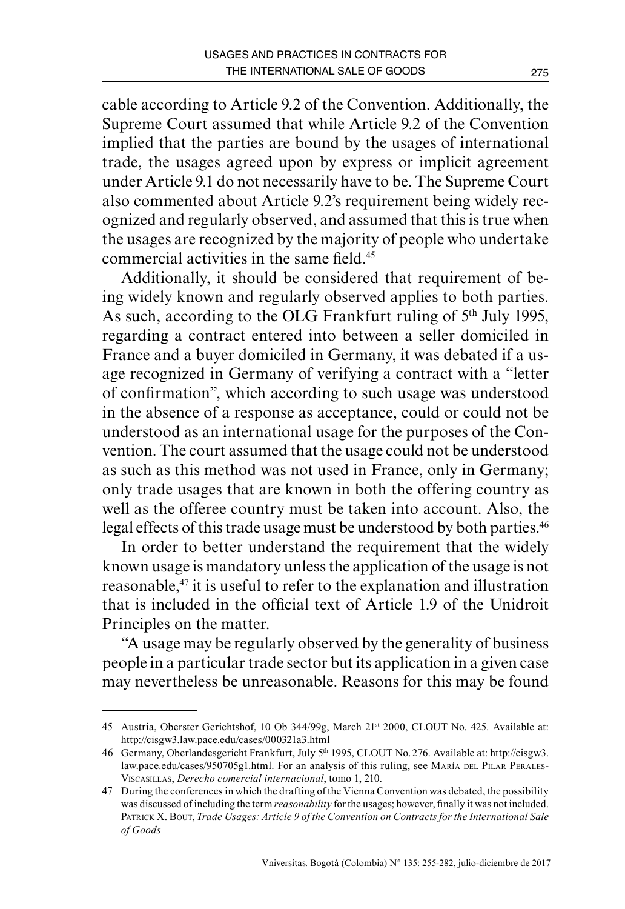cable according to Article 9.2 of the Convention. Additionally, the Supreme Court assumed that while Article 9.2 of the Convention implied that the parties are bound by the usages of international trade, the usages agreed upon by express or implicit agreement under Article 9.1 do not necessarily have to be. The Supreme Court also commented about Article 9.2's requirement being widely recognized and regularly observed, and assumed that this is true when the usages are recognized by the majority of people who undertake commercial activities in the same field.45

Additionally, it should be considered that requirement of being widely known and regularly observed applies to both parties. As such, according to the OLG Frankfurt ruling of 5th July 1995, regarding a contract entered into between a seller domiciled in France and a buyer domiciled in Germany, it was debated if a usage recognized in Germany of verifying a contract with a "letter of confirmation", which according to such usage was understood in the absence of a response as acceptance, could or could not be understood as an international usage for the purposes of the Convention. The court assumed that the usage could not be understood as such as this method was not used in France, only in Germany; only trade usages that are known in both the offering country as well as the offeree country must be taken into account. Also, the legal effects of this trade usage must be understood by both parties.<sup>46</sup>

In order to better understand the requirement that the widely known usage is mandatory unless the application of the usage is not reasonable,<sup>47</sup> it is useful to refer to the explanation and illustration that is included in the official text of Article 1.9 of the Unidroit Principles on the matter.

"A usage may be regularly observed by the generality of business people in a particular trade sector but its application in a given case may nevertheless be unreasonable. Reasons for this may be found

<sup>45</sup> Austria, Oberster Gerichtshof, 10 Ob 344/99g, March 21st 2000, CLOUT No. 425. Available at: <http://cisgw3.law.pace.edu/cases/000321a3.html>

<sup>46</sup> Germany, Oberlandesgericht Frankfurt, July 5th 1995, CLOUT No. 276. Available at: [http://cisgw3.](http://cisgw3.law.pace.edu/cases/950705g1.html) [law.pace.edu/cases/950705g1.html](http://cisgw3.law.pace.edu/cases/950705g1.html). For an analysis of this ruling, see MARÍA DEL PILAR PERALES-Viscasillas, *Derecho comercial internacional*, tomo 1, 210.

<sup>47</sup> During the conferences in which the drafting of the Vienna Convention was debated, the possibility was discussed of including the term *reasonability* for the usages; however, finally it was not included. Patrick X. Bout, *Trade Usages: Article 9 of the Convention on Contracts for the International Sale of Goods*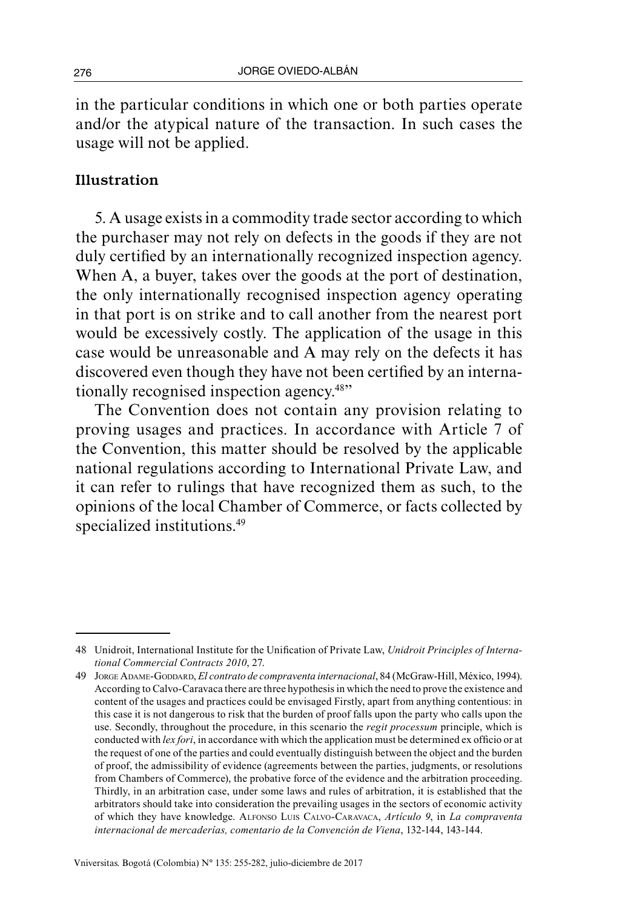in the particular conditions in which one or both parties operate and/or the atypical nature of the transaction. In such cases the usage will not be applied.

#### Illustration

5. A usage exists in a commodity trade sector according to which the purchaser may not rely on defects in the goods if they are not duly certified by an internationally recognized inspection agency. When A, a buyer, takes over the goods at the port of destination, the only internationally recognised inspection agency operating in that port is on strike and to call another from the nearest port would be excessively costly. The application of the usage in this case would be unreasonable and A may rely on the defects it has discovered even though they have not been certified by an internationally recognised inspection agency.48"

The Convention does not contain any provision relating to proving usages and practices. In accordance with Article 7 of the Convention, this matter should be resolved by the applicable national regulations according to International Private Law, and it can refer to rulings that have recognized them as such, to the opinions of the local Chamber of Commerce, or facts collected by specialized institutions.<sup>49</sup>

<sup>48</sup> Unidroit, International Institute for the Unification of Private Law, *Unidroit Principles of International Commercial Contracts 2010*, 27.

<sup>49</sup> Jorge Adame-Goddard, *El contrato de compraventa internacional*, 84 (McGraw-Hill, México, 1994). According to Calvo-Caravaca there are three hypothesis in which the need to prove the existence and content of the usages and practices could be envisaged Firstly, apart from anything contentious: in this case it is not dangerous to risk that the burden of proof falls upon the party who calls upon the use. Secondly, throughout the procedure, in this scenario the *regit processum* principle, which is conducted with *lex fori*, in accordance with which the application must be determined ex officio or at the request of one of the parties and could eventually distinguish between the object and the burden of proof, the admissibility of evidence (agreements between the parties, judgments, or resolutions from Chambers of Commerce), the probative force of the evidence and the arbitration proceeding. Thirdly, in an arbitration case, under some laws and rules of arbitration, it is established that the arbitrators should take into consideration the prevailing usages in the sectors of economic activity of which they have knowledge. Alfonso Luis Calvo-Caravaca, *Artículo 9*, in *La compraventa internacional de mercaderías, comentario de la Convención de Viena*, 132-144, 143-144.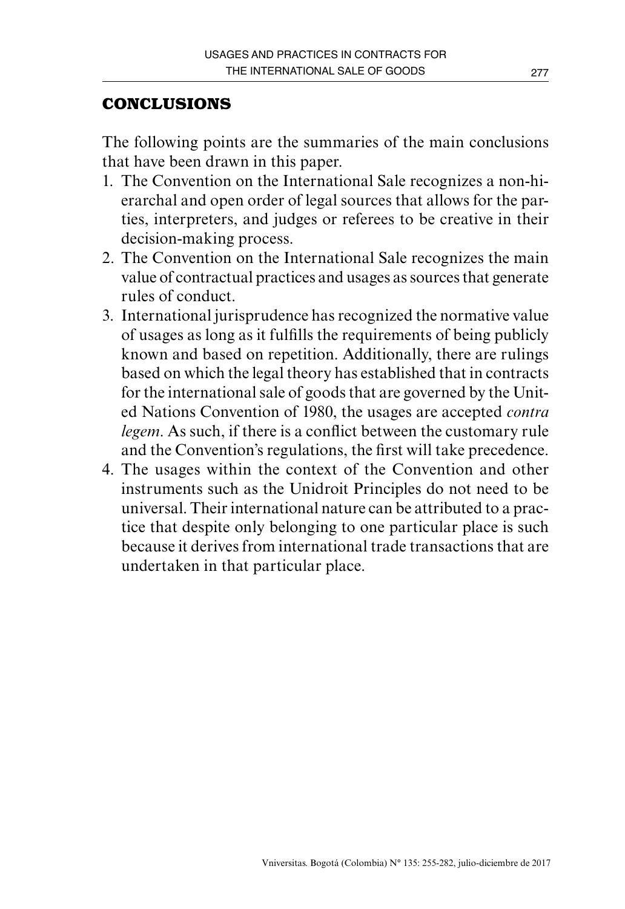# **CONCLUSIONS**

The following points are the summaries of the main conclusions that have been drawn in this paper.

- 1. The Convention on the International Sale recognizes a non-hierarchal and open order of legal sources that allows for the parties, interpreters, and judges or referees to be creative in their decision-making process.
- 2. The Convention on the International Sale recognizes the main value of contractual practices and usages as sources that generate rules of conduct.
- 3. International jurisprudence has recognized the normative value of usages as long as it fulfills the requirements of being publicly known and based on repetition. Additionally, there are rulings based on which the legal theory has established that in contracts for the international sale of goods that are governed by the United Nations Convention of 1980, the usages are accepted *contra legem*. As such, if there is a conflict between the customary rule and the Convention's regulations, the first will take precedence.
- 4. The usages within the context of the Convention and other instruments such as the Unidroit Principles do not need to be universal. Their international nature can be attributed to a practice that despite only belonging to one particular place is such because it derives from international trade transactions that are undertaken in that particular place.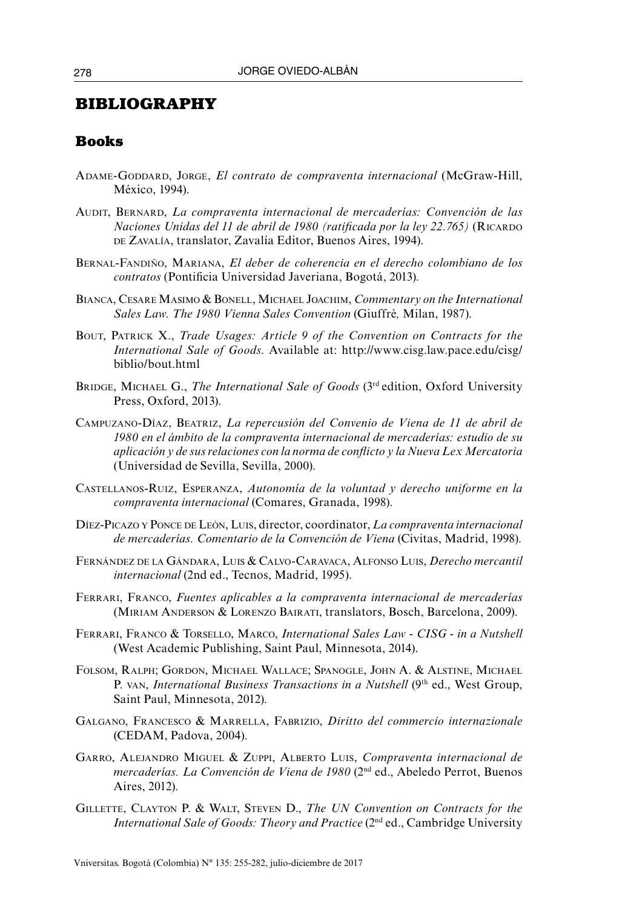#### **BIBLIOGRAPHY**

#### **Books**

- Adame-Goddard, Jorge, *El contrato de compraventa internacional* (McGraw-Hill, México, 1994).
- Audit, Bernard, *La compraventa internacional de mercaderías: Convención de las Naciones Unidas del 11 de abril de 1980 (ratificada por la ley 22.765)* (RICARDO DE ZAVALÍA, translator, Zavalía Editor, Buenos Aires, 1994).
- Bernal-Fandiño, Mariana, *El deber de coherencia en el derecho colombiano de los contratos* (Pontificia Universidad Javeriana, Bogotá, 2013).
- Bianca, Cesare Masimo & Bonell, Michael Joachim, *Commentary on the International Sales Law. The 1980 Vienna Sales Convention* (Giuffrè*,* Milan, 1987).
- Bout, Patrick X., *Trade Usages: Article 9 of the Convention on Contracts for the International Sale of Goods*. Available at: [http://www.cisg.law.pace.edu/cisg/](http://www.cisg.law.pace.edu/cisg/biblio/bout.html) [biblio/bout.html](http://www.cisg.law.pace.edu/cisg/biblio/bout.html)
- BRIDGE, MICHAEL G., The International Sale of Goods (3<sup>rd</sup> edition, Oxford University Press, Oxford, 2013).
- Campuzano-Díaz, Beatriz, *La repercusión del Convenio de Viena de 11 de abril de 1980 en el ámbito de la compraventa internacional de mercaderías: estudio de su aplicación y de sus relaciones con la norma de conflicto y la Nueva Lex Mercatoria* (Universidad de Sevilla, Sevilla, 2000).
- Castellanos-Ruiz, Esperanza, *Autonomía de la voluntad y derecho uniforme en la compraventa internacional* (Comares, Granada, 1998).
- Díez-Picazo <sup>y</sup> Ponce de León, Luis, director, coordinator, *La compraventa internacional de mercaderías. Comentario de la Convención de Viena* (Civitas, Madrid, 1998).
- Fernández de la Gándara, Luis & Calvo-Caravaca, Alfonso Luis, *Derecho mercantil internacional* (2nd ed., Tecnos, Madrid, 1995).
- Ferrari, Franco, *Fuentes aplicables a la compraventa internacional de mercaderías* (Miriam Anderson & Lorenzo Bairati, translators, Bosch, Barcelona, 2009).
- Ferrari, Franco & Torsello, Marco, *International Sales Law CISG in a Nutshell*  (West Academic Publishing, Saint Paul, Minnesota, 2014).
- Folsom, Ralph; Gordon, Michael Wallace; Spanogle, John A. & Alstine, Michael P. VAN, *International Business Transactions in a Nutshell* (9<sup>th</sup> ed., West Group, Saint Paul, Minnesota, 2012).
- Galgano, Francesco & Marrella, Fabrizio, *Diritto del commercio internazionale* (CEDAM, Padova, 2004).
- Garro, Alejandro Miguel & Zuppi, Alberto Luis, *Compraventa internacional de mercaderías. La Convención de Viena de 1980* (2nd ed., Abeledo Perrot, Buenos Aires, 2012).
- Gillette, Clayton P. & Walt, Steven D., *The UN Convention on Contracts for the International Sale of Goods: Theory and Practice* (2nd ed., Cambridge University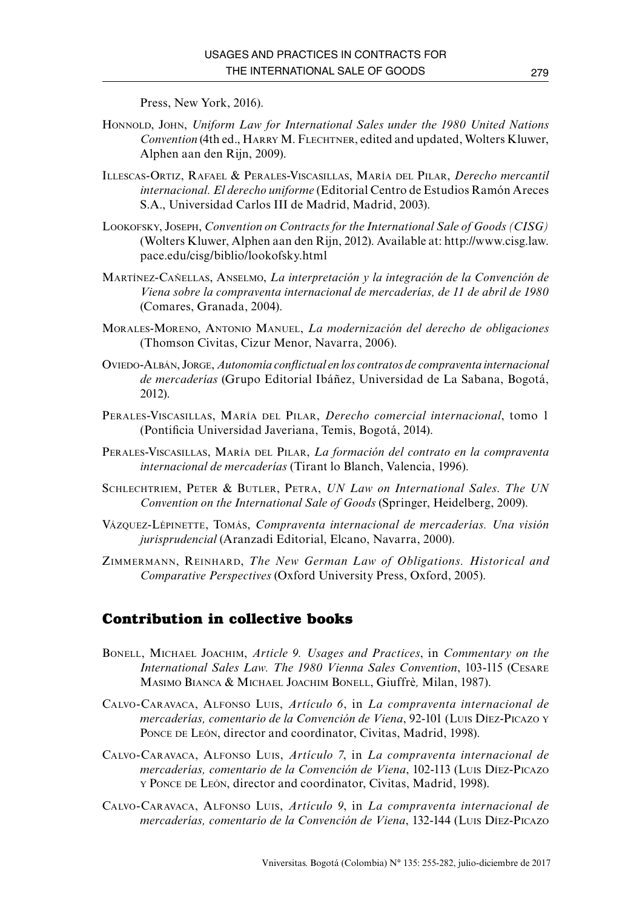Press, New York, 2016).

- Honnold, John, *Uniform Law for International Sales under the 1980 United Nations Convention* (4th ed., Harry M. Flechtner, edited and updated, Wolters Kluwer, Alphen aan den Rijn, 2009).
- Illescas-Ortiz, Rafael & Perales-Viscasillas, María del Pilar, *Derecho mercantil internacional. El derecho uniforme* (Editorial Centro de Estudios Ramón Areces S.A., Universidad Carlos III de Madrid, Madrid, 2003).
- Lookofsky, Joseph, *Convention on Contracts for the International Sale of Goods (CISG)* (Wolters Kluwer, Alphen aan den Rijn, 2012). Available at: http://www.cisg.law. pace.edu/cisg/biblio/lookofsky.html
- Martínez-Cañellas, Anselmo, *La interpretación y la integración de la Convención de Viena sobre la compraventa internacional de mercaderías, de 11 de abril de 1980* (Comares, Granada, 2004).
- Morales-Moreno, Antonio Manuel, *La modernización del derecho de obligaciones* (Thomson Civitas, Cizur Menor, Navarra, 2006).
- Oviedo-Albán, Jorge, *Autonomía conflictual en los contratos de compraventa internacional de mercaderías* (Grupo Editorial Ibáñez, Universidad de La Sabana, Bogotá, 2012).
- Perales-Viscasillas, María del Pilar, *Derecho comercial internacional*, tomo 1 (Pontificia Universidad Javeriana, Temis, Bogotá, 2014).
- Perales-Viscasillas, María del Pilar, *La formación del contrato en la compraventa internacional de mercaderías* (Tirant lo Blanch, Valencia, 1996).
- Schlechtriem, Peter & Butler, Petra, *UN Law on International Sales*. *The UN Convention on the International Sale of Goods* (Springer, Heidelberg, 2009).
- Vázquez-Lépinette, Tomás, *Compraventa internacional de mercaderías. Una visión jurisprudencial* (Aranzadi Editorial, Elcano, Navarra, 2000).
- Zimmermann, Reinhard, *The New German Law of Obligations. Historical and Comparative Perspectives* (Oxford University Press, Oxford, 2005).

#### **Contribution in collective books**

- Bonell, Michael Joachim, *Article 9. Usages and Practices*, in *Commentary on the International Sales Law. The 1980 Vienna Sales Convention*, 103-115 (Cesare Masimo Bianca & Michael Joachim Bonell, Giuffrè*,* Milan, 1987).
- Calvo-Caravaca, Alfonso Luis, *Artículo 6*, in *La compraventa internacional de mercaderías, comentario de la Convención de Viena*, 92-101 (Luis Díez-Picazo <sup>y</sup> PONCE DE LEÓN, director and coordinator, Civitas, Madrid, 1998).
- Calvo-Caravaca, Alfonso Luis, *Artículo 7*, in *La compraventa internacional de mercaderías, comentario de la Convención de Viena*, 102-113 (Luis Díez-Picazo <sup>y</sup> Ponce de León, director and coordinator, Civitas, Madrid, 1998).
- Calvo-Caravaca, Alfonso Luis, *Artículo 9*, in *La compraventa internacional de mercaderías, comentario de la Convención de Viena*, 132-144 (Luis Díez-Picazo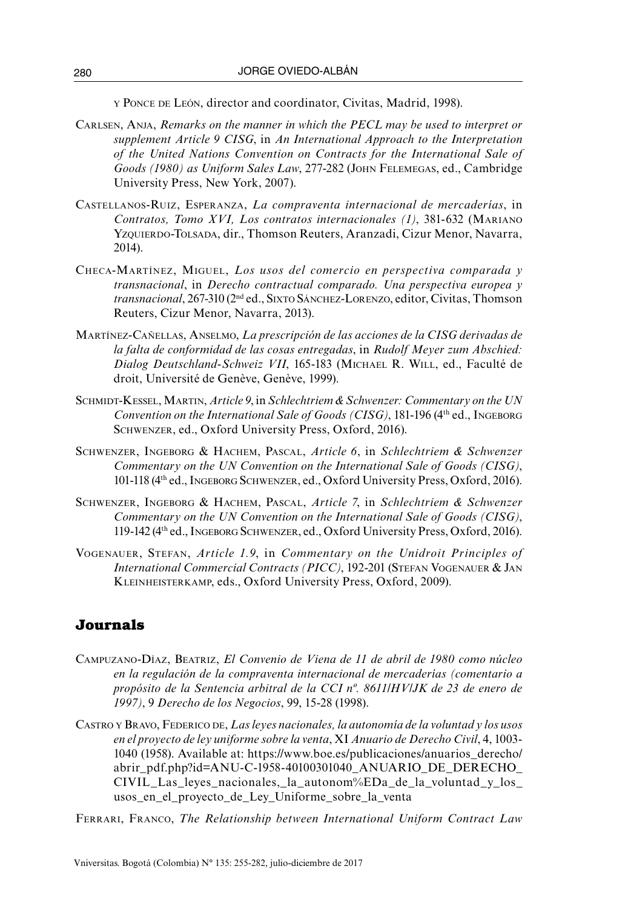<sup>y</sup> Ponce de León, director and coordinator, Civitas, Madrid, 1998).

- Carlsen, Anja, *Remarks on the manner in which the PECL may be used to interpret or supplement Article 9 CISG*, in *An International Approach to the Interpretation of the United Nations Convention on Contracts for the International Sale of Goods (1980) as Uniform Sales Law*, 277-282 (John Felemegas, ed., Cambridge University Press, New York, 2007).
- Castellanos-Ruiz, Esperanza, *La compraventa internacional de mercaderías*, in *Contratos, Tomo XVI, Los contratos internacionales (1)*, 381-632 (Mariano Yzquierdo-Tolsada, dir., Thomson Reuters, Aranzadi, Cizur Menor, Navarra, 2014).
- Checa-Martínez, Miguel, *Los usos del comercio en perspectiva comparada y transnacional*, in *Derecho contractual comparado. Una perspectiva europea y transnacional*, 267-310 (2nd ed., Sixto Sánchez-Lorenzo, editor, Civitas, Thomson Reuters, Cizur Menor, Navarra, 2013).
- Martínez-Cañellas, Anselmo, *La prescripción de las acciones de la CISG derivadas de la falta de conformidad de las cosas entregadas*, in *Rudolf Meyer zum Abschied: Dialog Deutschland-Schweiz VII*, 165-183 (Michael R. Will, ed., Faculté de droit, Université de Genève, Genève, 1999).
- Schmidt-Kessel, Martin, *Article 9*, in *Schlechtriem & Schwenzer: Commentary on the UN Convention on the International Sale of Goods (CISG)*, 181-196 (4th ed., Ingeborg Schwenzer, ed., Oxford University Press, Oxford, 2016).
- Schwenzer, Ingeborg & Hachem, Pascal, *Article 6*, in *Schlechtriem & Schwenzer Commentary on the UN Convention on the International Sale of Goods (CISG)*, 101-118 (4th ed., Ingeborg Schwenzer, ed., Oxford University Press, Oxford, 2016).
- Schwenzer, Ingeborg & Hachem, Pascal, *Article 7*, in *Schlechtriem & Schwenzer Commentary on the UN Convention on the International Sale of Goods (CISG)*, 119-142 (4th ed., Ingeborg Schwenzer, ed., Oxford University Press, Oxford, 2016).
- Vogenauer, Stefan, *Article 1.9*, in *Commentary on the Unidroit Principles of International Commercial Contracts (PICC)*, 192-201 (STEFAN VOGENAUER & JAN Kleinheisterkamp, eds., Oxford University Press, Oxford, 2009).

#### **Journals**

- Campuzano-Díaz, Beatriz, *El Convenio de Viena de 11 de abril de 1980 como núcleo en la regulación de la compraventa internacional de mercaderías (comentario a propósito de la Sentencia arbitral de la CCI nº. 8611/HV/JK de 23 de enero de 1997)*, 9 *Derecho de los Negocios*, 99, 15-28 (1998).
- Castro y Bravo, Federico de, *Las leyes nacionales, la autonomía de la voluntad y los usos en el proyecto de ley uniforme sobre la venta*, XI *Anuario de Derecho Civil*, 4, 1003- 1040 (1958). Available at: [https://www.boe.es/publicaciones/anuarios\\_derecho/](https://www.boe.es/publicaciones/anuarios_derecho/abrir_pdf.php?id=ANU-C-1958-40100301040_ANUARIO_DE_DERECHO_CIVIL_Las_leyes_nacionales,_la_autonom%EDa_de_la_voluntad_y_los_usos_en_el_proyecto_de_Ley_Uniforme_sobre_la_venta) [abrir\\_pdf.php?id=ANU-C-1958-40100301040\\_ANUARIO\\_DE\\_DERECHO\\_](https://www.boe.es/publicaciones/anuarios_derecho/abrir_pdf.php?id=ANU-C-1958-40100301040_ANUARIO_DE_DERECHO_CIVIL_Las_leyes_nacionales,_la_autonom%EDa_de_la_voluntad_y_los_usos_en_el_proyecto_de_Ley_Uniforme_sobre_la_venta) [CIVIL\\_Las\\_leyes\\_nacionales,\\_la\\_autonom%EDa\\_de\\_la\\_voluntad\\_y\\_los\\_](https://www.boe.es/publicaciones/anuarios_derecho/abrir_pdf.php?id=ANU-C-1958-40100301040_ANUARIO_DE_DERECHO_CIVIL_Las_leyes_nacionales,_la_autonom%EDa_de_la_voluntad_y_los_usos_en_el_proyecto_de_Ley_Uniforme_sobre_la_venta) [usos\\_en\\_el\\_proyecto\\_de\\_Ley\\_Uniforme\\_sobre\\_la\\_venta](https://www.boe.es/publicaciones/anuarios_derecho/abrir_pdf.php?id=ANU-C-1958-40100301040_ANUARIO_DE_DERECHO_CIVIL_Las_leyes_nacionales,_la_autonom%EDa_de_la_voluntad_y_los_usos_en_el_proyecto_de_Ley_Uniforme_sobre_la_venta)

Ferrari, Franco, *The Relationship between International Uniform Contract Law*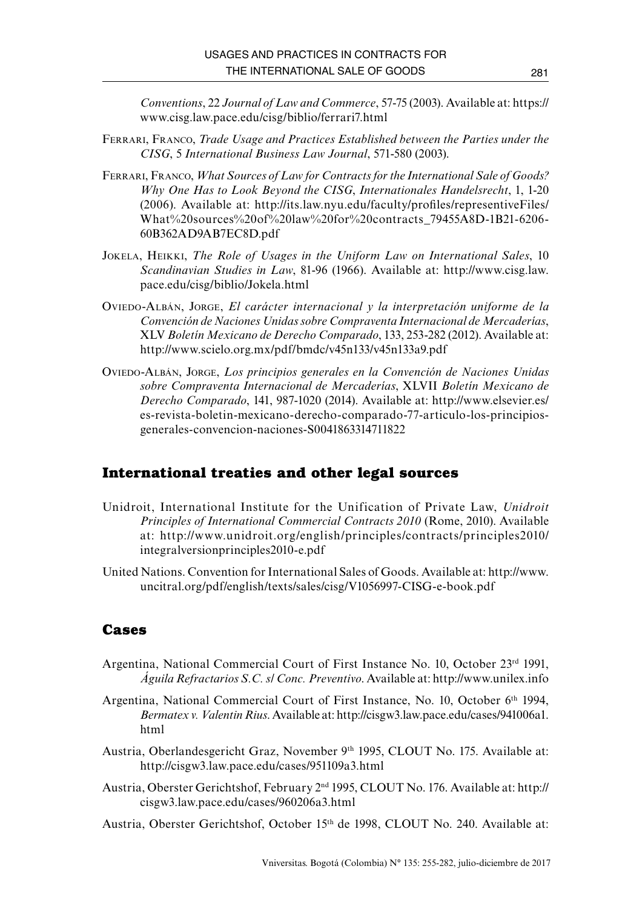*Conventions*, 22 *Journal of Law and Commerce*, 57-75 (2003). Available at: https:// www.cisg.law.pace.edu/cisg/biblio/ferrari7.html

- Ferrari, Franco, *Trade Usage and Practices Established between the Parties under the CISG*, 5 *International Business Law Journal*, 571-580 (2003).
- Ferrari, Franco, *What Sources of Law for Contracts for the International Sale of Goods? Why One Has to Look Beyond the CISG*, *Internationales Handelsrecht*, 1, 1-20 (2006). Available at: http://its.law.nyu.edu/faculty/profiles/representiveFiles/ What%20sources%20of%20law%20for%20contracts\_79455A8D-1B21-6206- 60B362AD9AB7EC8D.pdf
- Jokela, Heikki, *The Role of Usages in the Uniform Law on International Sales*, 10 *Scandinavian Studies in Law*, 81-96 (1966). Available at: http://www.cisg.law. pace.edu/cisg/biblio/Jokela.html
- Oviedo-Albán, Jorge, *El carácter internacional y la interpretación uniforme de la Convención de Naciones Unidas sobre Compraventa Internacional de Mercaderías*, XLV *Boletín Mexicano de Derecho Comparado*, 133, 253-282 (2012). Available at: http://www.scielo.org.mx/pdf/bmdc/v45n133/v45n133a9.pdf
- Oviedo-Albán, Jorge, *Los principios generales en la Convención de Naciones Unidas sobre Compraventa Internacional de Mercaderías*, XLVII *Boletín Mexicano de Derecho Comparado*, 141, 987-1020 (2014). Available at: http://www.elsevier.es/ es-revista-boletin-mexicano-derecho-comparado-77-articulo-los-principiosgenerales-convencion-naciones-S0041863314711822

#### **International treaties and other legal sources**

- Unidroit, International Institute for the Unification of Private Law, *Unidroit Principles of International Commercial Contracts 2010* (Rome, 2010). Available at: [http://www.unidroit.org/english/principles/contracts/principles2010/](http://www.unidroit.org/english/principles/contracts/principles2010/integralversionprinciples2010-e.pdf) [integralversionprinciples2010-e.pdf](http://www.unidroit.org/english/principles/contracts/principles2010/integralversionprinciples2010-e.pdf)
- United Nations. Convention for International Sales of Goods. Available at: [http://www.](http://www.uncitral.org/pdf/english/texts/sales/cisg/V1056997-CISG-e-book.pdf) [uncitral.org/pdf/english/texts/sales/cisg/V1056997-CISG-e-book.pdf](http://www.uncitral.org/pdf/english/texts/sales/cisg/V1056997-CISG-e-book.pdf)

#### **Cases**

- Argentina, National Commercial Court of First Instance No. 10, October 23<sup>rd</sup> 1991, *Águila Refractarios S.C. s/ Conc. Preventivo*. Available at:<http://www.unilex.info>
- Argentina, National Commercial Court of First Instance, No. 10, October 6th 1994, *Bermatex v. Valentin Rius*. Available at: [http://cisgw3.law.pace.edu/cases/941006a1.](http://cisgw3.law.pace.edu/cases/941006a1.html) [html](http://cisgw3.law.pace.edu/cases/941006a1.html)
- Austria, Oberlandesgericht Graz, November 9th 1995, CLOUT No. 175. Available at: <http://cisgw3.law.pace.edu/cases/951109a3.html>
- Austria, Oberster Gerichtshof, February 2nd 1995, CLOUT No. 176. Available at: [http://](%20http://cisgw3.law.pace.edu/cases/960206a3.html) [cisgw3.law.pace.edu/cases/960206a3.html](%20http://cisgw3.law.pace.edu/cases/960206a3.html)

Austria, Oberster Gerichtshof, October 15th de 1998, CLOUT No. 240. Available at: